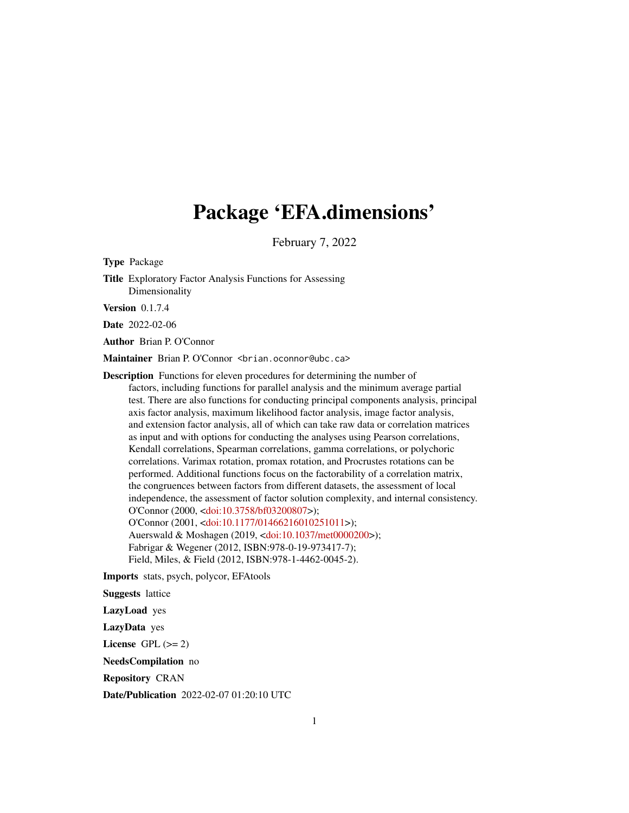# Package 'EFA.dimensions'

February 7, 2022

Type Package Title Exploratory Factor Analysis Functions for Assessing Dimensionality Version 0.1.7.4 Date 2022-02-06 Author Brian P. O'Connor Maintainer Brian P. O'Connor <br ian.oconnor@ubc.ca> Description Functions for eleven procedures for determining the number of factors, including functions for parallel analysis and the minimum average partial test. There are also functions for conducting principal components analysis, principal axis factor analysis, maximum likelihood factor analysis, image factor analysis, and extension factor analysis, all of which can take raw data or correlation matrices as input and with options for conducting the analyses using Pearson correlations, Kendall correlations, Spearman correlations, gamma correlations, or polychoric correlations. Varimax rotation, promax rotation, and Procrustes rotations can be performed. Additional functions focus on the factorability of a correlation matrix, the congruences between factors from different datasets, the assessment of local independence, the assessment of factor solution complexity, and internal consistency. O'Connor (2000, [<doi:10.3758/bf03200807>](https://doi.org/10.3758/bf03200807)); O'Connor (2001, [<doi:10.1177/01466216010251011>](https://doi.org/10.1177/01466216010251011)); Auerswald & Moshagen (2019, [<doi:10.1037/met0000200>](https://doi.org/10.1037/met0000200)); Fabrigar & Wegener (2012, ISBN:978-0-19-973417-7); Field, Miles, & Field (2012, ISBN:978-1-4462-0045-2).

Imports stats, psych, polycor, EFAtools

Suggests lattice

LazyLoad yes

LazyData yes

License GPL  $(>= 2)$ 

NeedsCompilation no

Repository CRAN

Date/Publication 2022-02-07 01:20:10 UTC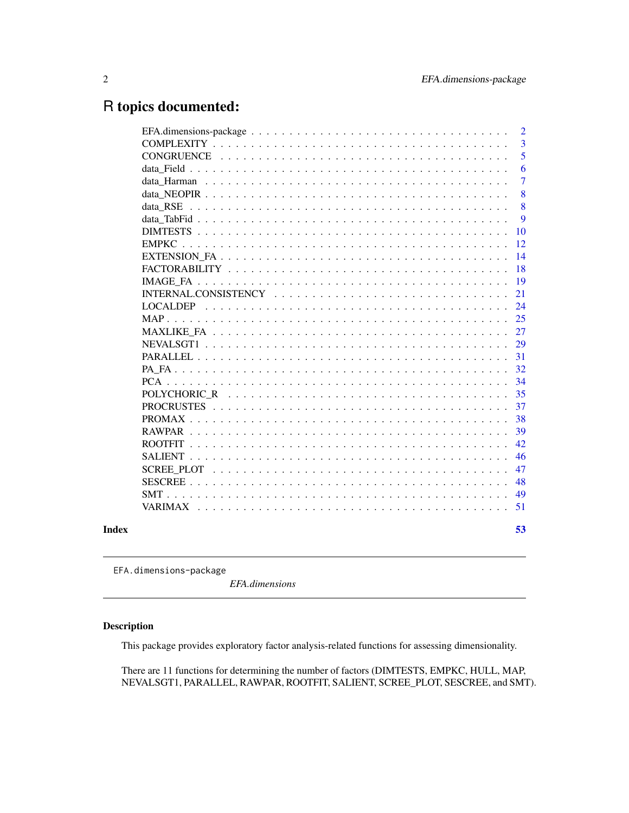## <span id="page-1-0"></span>R topics documented:

|       |                   | $\overline{2}$ |
|-------|-------------------|----------------|
|       |                   | 3              |
|       | <b>CONGRUENCE</b> | 5              |
|       |                   | 6              |
|       |                   | 7              |
|       |                   | 8              |
|       | data RSE          | 8              |
|       |                   | 9              |
|       |                   | 10             |
|       | <b>EMPKC</b>      | 12             |
|       |                   | 14             |
|       |                   | 18             |
|       |                   | 19             |
|       |                   | 21             |
|       |                   | 24             |
|       |                   | 25             |
|       |                   | 27             |
|       | NEVALSGT1         | 29             |
|       |                   | 31             |
|       |                   | 32             |
|       |                   | 34             |
|       |                   | 35             |
|       |                   | 37             |
|       |                   | 38             |
|       |                   | 39             |
|       |                   | 42             |
|       |                   | 46             |
|       |                   | 47             |
|       |                   | 48             |
|       |                   | 49             |
|       |                   | 51             |
| Index |                   | 53             |
|       |                   |                |

EFA.dimensions-package

*EFA.dimensions*

## Description

This package provides exploratory factor analysis-related functions for assessing dimensionality.

There are 11 functions for determining the number of factors (DIMTESTS, EMPKC, HULL, MAP, NEVALSGT1, PARALLEL, RAWPAR, ROOTFIT, SALIENT, SCREE\_PLOT, SESCREE, and SMT).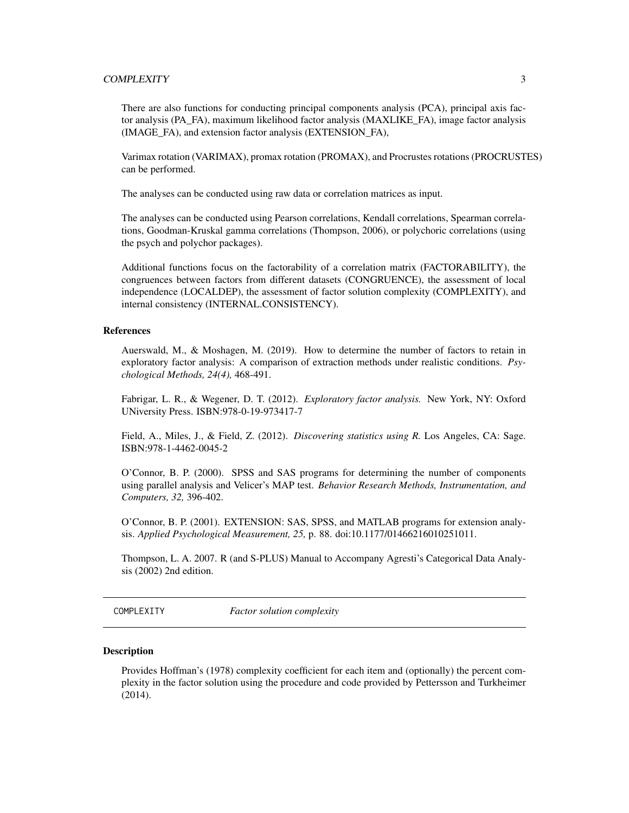## <span id="page-2-0"></span>COMPLEXITY 3

There are also functions for conducting principal components analysis (PCA), principal axis factor analysis (PA\_FA), maximum likelihood factor analysis (MAXLIKE\_FA), image factor analysis (IMAGE\_FA), and extension factor analysis (EXTENSION\_FA),

Varimax rotation (VARIMAX), promax rotation (PROMAX), and Procrustes rotations (PROCRUSTES) can be performed.

The analyses can be conducted using raw data or correlation matrices as input.

The analyses can be conducted using Pearson correlations, Kendall correlations, Spearman correlations, Goodman-Kruskal gamma correlations (Thompson, 2006), or polychoric correlations (using the psych and polychor packages).

Additional functions focus on the factorability of a correlation matrix (FACTORABILITY), the congruences between factors from different datasets (CONGRUENCE), the assessment of local independence (LOCALDEP), the assessment of factor solution complexity (COMPLEXITY), and internal consistency (INTERNAL.CONSISTENCY).

#### References

Auerswald, M., & Moshagen, M. (2019). How to determine the number of factors to retain in exploratory factor analysis: A comparison of extraction methods under realistic conditions. *Psychological Methods, 24(4),* 468-491.

Fabrigar, L. R., & Wegener, D. T. (2012). *Exploratory factor analysis.* New York, NY: Oxford UNiversity Press. ISBN:978-0-19-973417-7

Field, A., Miles, J., & Field, Z. (2012). *Discovering statistics using R.* Los Angeles, CA: Sage. ISBN:978-1-4462-0045-2

O'Connor, B. P. (2000). SPSS and SAS programs for determining the number of components using parallel analysis and Velicer's MAP test. *Behavior Research Methods, Instrumentation, and Computers, 32,* 396-402.

O'Connor, B. P. (2001). EXTENSION: SAS, SPSS, and MATLAB programs for extension analysis. *Applied Psychological Measurement, 25,* p. 88. doi:10.1177/01466216010251011.

Thompson, L. A. 2007. R (and S-PLUS) Manual to Accompany Agresti's Categorical Data Analysis (2002) 2nd edition.

COMPLEXITY *Factor solution complexity*

#### **Description**

Provides Hoffman's (1978) complexity coefficient for each item and (optionally) the percent complexity in the factor solution using the procedure and code provided by Pettersson and Turkheimer (2014).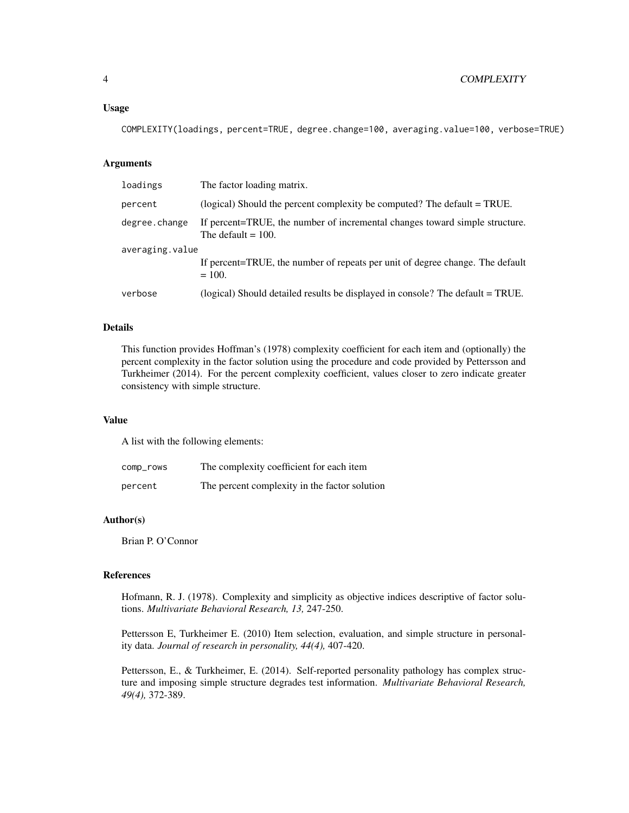#### Usage

COMPLEXITY(loadings, percent=TRUE, degree.change=100, averaging.value=100, verbose=TRUE)

## Arguments

| loadings        | The factor loading matrix.                                                                           |  |
|-----------------|------------------------------------------------------------------------------------------------------|--|
| percent         | (logical) Should the percent complexity be computed? The default = TRUE.                             |  |
| degree.change   | If percent=TRUE, the number of incremental changes toward simple structure.<br>The default $= 100$ . |  |
| averaging.value |                                                                                                      |  |
|                 | If percent=TRUE, the number of repeats per unit of degree change. The default<br>$= 100.$            |  |
| verbose         | (logical) Should detailed results be displayed in console? The default = TRUE.                       |  |

## Details

This function provides Hoffman's (1978) complexity coefficient for each item and (optionally) the percent complexity in the factor solution using the procedure and code provided by Pettersson and Turkheimer (2014). For the percent complexity coefficient, values closer to zero indicate greater consistency with simple structure.

#### Value

A list with the following elements:

| comp_rows | The complexity coefficient for each item      |
|-----------|-----------------------------------------------|
| percent   | The percent complexity in the factor solution |

## Author(s)

Brian P. O'Connor

#### References

Hofmann, R. J. (1978). Complexity and simplicity as objective indices descriptive of factor solutions. *Multivariate Behavioral Research, 13,* 247-250.

Pettersson E, Turkheimer E. (2010) Item selection, evaluation, and simple structure in personality data. *Journal of research in personality, 44(4),* 407-420.

Pettersson, E., & Turkheimer, E. (2014). Self-reported personality pathology has complex structure and imposing simple structure degrades test information. *Multivariate Behavioral Research, 49(4),* 372-389.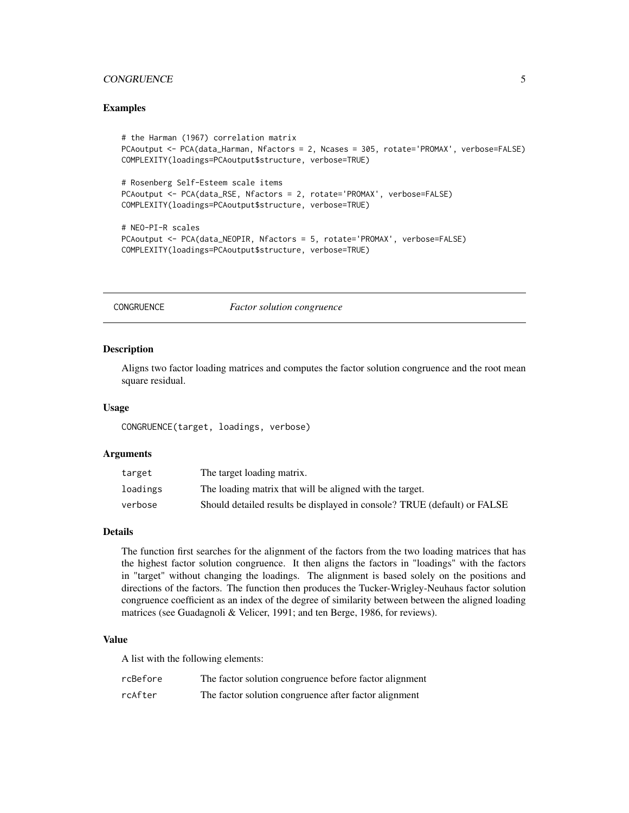## <span id="page-4-0"></span>CONGRUENCE 5

#### Examples

```
# the Harman (1967) correlation matrix
PCAoutput <- PCA(data_Harman, Nfactors = 2, Ncases = 305, rotate='PROMAX', verbose=FALSE)
COMPLEXITY(loadings=PCAoutput$structure, verbose=TRUE)
# Rosenberg Self-Esteem scale items
PCAoutput <- PCA(data_RSE, Nfactors = 2, rotate='PROMAX', verbose=FALSE)
COMPLEXITY(loadings=PCAoutput$structure, verbose=TRUE)
# NEO-PI-R scales
PCAoutput <- PCA(data_NEOPIR, Nfactors = 5, rotate='PROMAX', verbose=FALSE)
COMPLEXITY(loadings=PCAoutput$structure, verbose=TRUE)
```
CONGRUENCE *Factor solution congruence*

#### Description

Aligns two factor loading matrices and computes the factor solution congruence and the root mean square residual.

#### Usage

CONGRUENCE(target, loadings, verbose)

#### Arguments

| target   | The target loading matrix.                                               |
|----------|--------------------------------------------------------------------------|
| loadings | The loading matrix that will be aligned with the target.                 |
| verbose  | Should detailed results be displayed in console? TRUE (default) or FALSE |

## Details

The function first searches for the alignment of the factors from the two loading matrices that has the highest factor solution congruence. It then aligns the factors in "loadings" with the factors in "target" without changing the loadings. The alignment is based solely on the positions and directions of the factors. The function then produces the Tucker-Wrigley-Neuhaus factor solution congruence coefficient as an index of the degree of similarity between between the aligned loading matrices (see Guadagnoli & Velicer, 1991; and ten Berge, 1986, for reviews).

#### Value

A list with the following elements:

| rcBefore | The factor solution congruence before factor alignment |
|----------|--------------------------------------------------------|
| rcAfter  | The factor solution congruence after factor alignment  |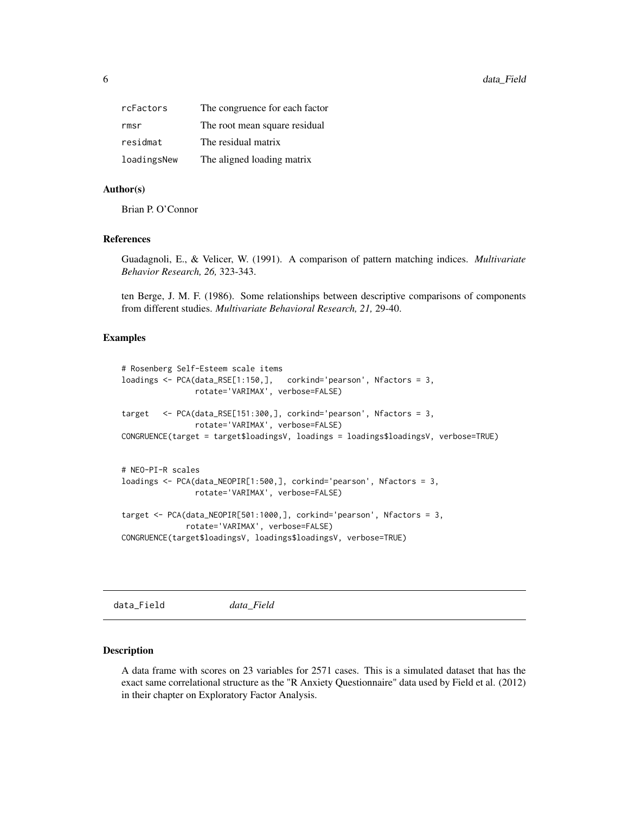<span id="page-5-0"></span>

| rcFactors   | The congruence for each factor |
|-------------|--------------------------------|
| rmsr        | The root mean square residual  |
| residmat    | The residual matrix            |
| loadingsNew | The aligned loading matrix     |

#### Author(s)

Brian P. O'Connor

## References

Guadagnoli, E., & Velicer, W. (1991). A comparison of pattern matching indices. *Multivariate Behavior Research, 26,* 323-343.

ten Berge, J. M. F. (1986). Some relationships between descriptive comparisons of components from different studies. *Multivariate Behavioral Research, 21,* 29-40.

#### Examples

```
# Rosenberg Self-Esteem scale items
loadings <- PCA(data_RSE[1:150,], corkind='pearson', Nfactors = 3,
               rotate='VARIMAX', verbose=FALSE)
target <- PCA(data_RSE[151:300,], corkind='pearson', Nfactors = 3,
               rotate='VARIMAX', verbose=FALSE)
CONGRUENCE(target = target$loadingsV, loadings = loadings$loadingsV, verbose=TRUE)
# NEO-PI-R scales
loadings <- PCA(data_NEOPIR[1:500,], corkind='pearson', Nfactors = 3,
               rotate='VARIMAX', verbose=FALSE)
target <- PCA(data_NEOPIR[501:1000,], corkind='pearson', Nfactors = 3,
              rotate='VARIMAX', verbose=FALSE)
CONGRUENCE(target$loadingsV, loadings$loadingsV, verbose=TRUE)
```
data\_Field *data\_Field*

#### **Description**

A data frame with scores on 23 variables for 2571 cases. This is a simulated dataset that has the exact same correlational structure as the "R Anxiety Questionnaire" data used by Field et al. (2012) in their chapter on Exploratory Factor Analysis.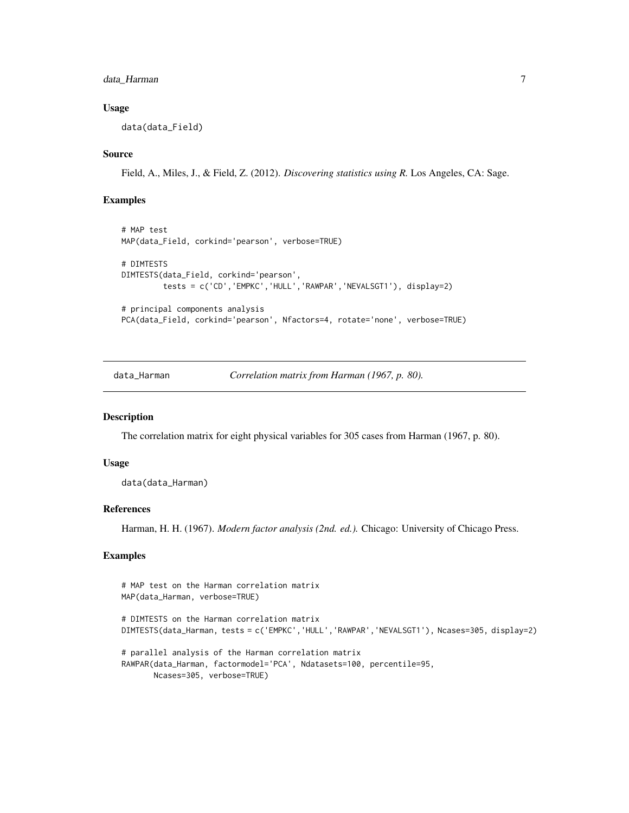## <span id="page-6-0"></span>data\_Harman 7

#### Usage

data(data\_Field)

## Source

Field, A., Miles, J., & Field, Z. (2012). *Discovering statistics using R.* Los Angeles, CA: Sage.

#### Examples

```
# MAP test
MAP(data_Field, corkind='pearson', verbose=TRUE)
# DIMTESTS
DIMTESTS(data_Field, corkind='pearson',
         tests = c('CD','EMPKC','HULL','RAWPAR','NEVALSGT1'), display=2)
# principal components analysis
PCA(data_Field, corkind='pearson', Nfactors=4, rotate='none', verbose=TRUE)
```
data\_Harman *Correlation matrix from Harman (1967, p. 80).*

## Description

The correlation matrix for eight physical variables for 305 cases from Harman (1967, p. 80).

#### Usage

data(data\_Harman)

## References

Harman, H. H. (1967). *Modern factor analysis (2nd. ed.).* Chicago: University of Chicago Press.

#### Examples

```
# MAP test on the Harman correlation matrix
MAP(data_Harman, verbose=TRUE)
# DIMTESTS on the Harman correlation matrix
DIMTESTS(data_Harman, tests = c('EMPKC','HULL','RAWPAR','NEVALSGT1'), Ncases=305, display=2)
# parallel analysis of the Harman correlation matrix
RAWPAR(data_Harman, factormodel='PCA', Ndatasets=100, percentile=95,
       Ncases=305, verbose=TRUE)
```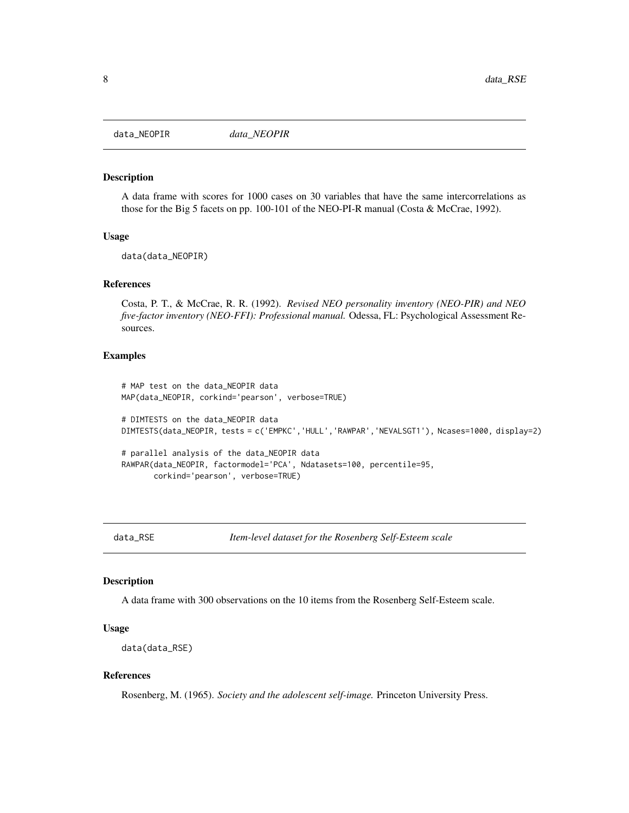<span id="page-7-0"></span>

#### Description

A data frame with scores for 1000 cases on 30 variables that have the same intercorrelations as those for the Big 5 facets on pp. 100-101 of the NEO-PI-R manual (Costa & McCrae, 1992).

#### Usage

data(data\_NEOPIR)

#### References

Costa, P. T., & McCrae, R. R. (1992). *Revised NEO personality inventory (NEO-PIR) and NEO five-factor inventory (NEO-FFI): Professional manual.* Odessa, FL: Psychological Assessment Resources.

## Examples

# MAP test on the data\_NEOPIR data MAP(data\_NEOPIR, corkind='pearson', verbose=TRUE) # DIMTESTS on the data\_NEOPIR data DIMTESTS(data\_NEOPIR, tests = c('EMPKC','HULL','RAWPAR','NEVALSGT1'), Ncases=1000, display=2) # parallel analysis of the data\_NEOPIR data RAWPAR(data\_NEOPIR, factormodel='PCA', Ndatasets=100, percentile=95, corkind='pearson', verbose=TRUE)

data\_RSE *Item-level dataset for the Rosenberg Self-Esteem scale*

## Description

A data frame with 300 observations on the 10 items from the Rosenberg Self-Esteem scale.

#### Usage

```
data(data_RSE)
```
#### References

Rosenberg, M. (1965). *Society and the adolescent self-image.* Princeton University Press.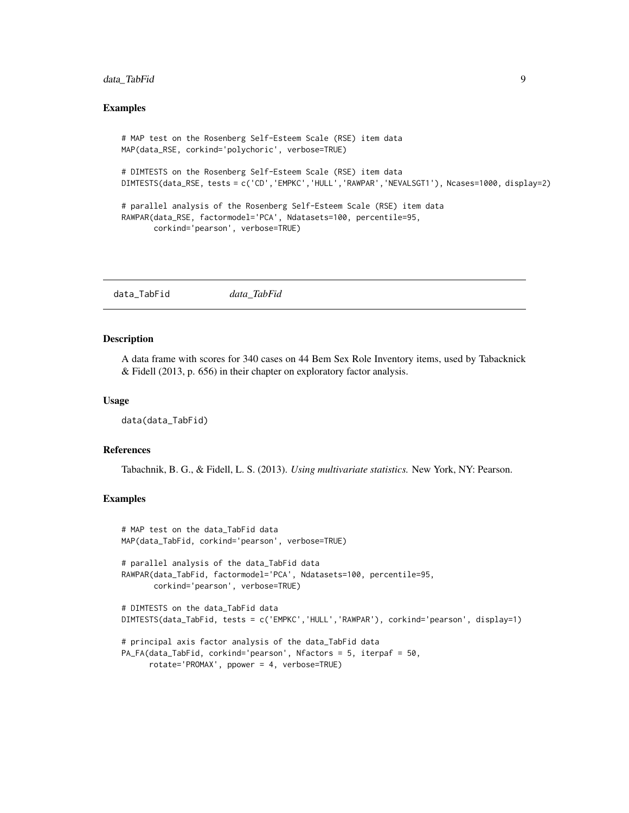## <span id="page-8-0"></span>data\_TabFid 9

#### Examples

```
# MAP test on the Rosenberg Self-Esteem Scale (RSE) item data
MAP(data_RSE, corkind='polychoric', verbose=TRUE)
# DIMTESTS on the Rosenberg Self-Esteem Scale (RSE) item data
DIMTESTS(data_RSE, tests = c('CD','EMPKC','HULL','RAWPAR','NEVALSGT1'), Ncases=1000, display=2)
# parallel analysis of the Rosenberg Self-Esteem Scale (RSE) item data
RAWPAR(data_RSE, factormodel='PCA', Ndatasets=100, percentile=95,
       corkind='pearson', verbose=TRUE)
```
data\_TabFid *data\_TabFid*

## Description

A data frame with scores for 340 cases on 44 Bem Sex Role Inventory items, used by Tabacknick & Fidell (2013, p. 656) in their chapter on exploratory factor analysis.

#### Usage

data(data\_TabFid)

#### References

Tabachnik, B. G., & Fidell, L. S. (2013). *Using multivariate statistics.* New York, NY: Pearson.

#### Examples

```
# MAP test on the data_TabFid data
MAP(data_TabFid, corkind='pearson', verbose=TRUE)
# parallel analysis of the data_TabFid data
RAWPAR(data_TabFid, factormodel='PCA', Ndatasets=100, percentile=95,
       corkind='pearson', verbose=TRUE)
# DIMTESTS on the data_TabFid data
DIMTESTS(data_TabFid, tests = c('EMPKC','HULL','RAWPAR'), corkind='pearson', display=1)
# principal axis factor analysis of the data_TabFid data
PA_FA(data_TabFid, corkind='pearson', Nfactors = 5, iterpaf = 50,
      rotate='PROMAX', ppower = 4, verbose=TRUE)
```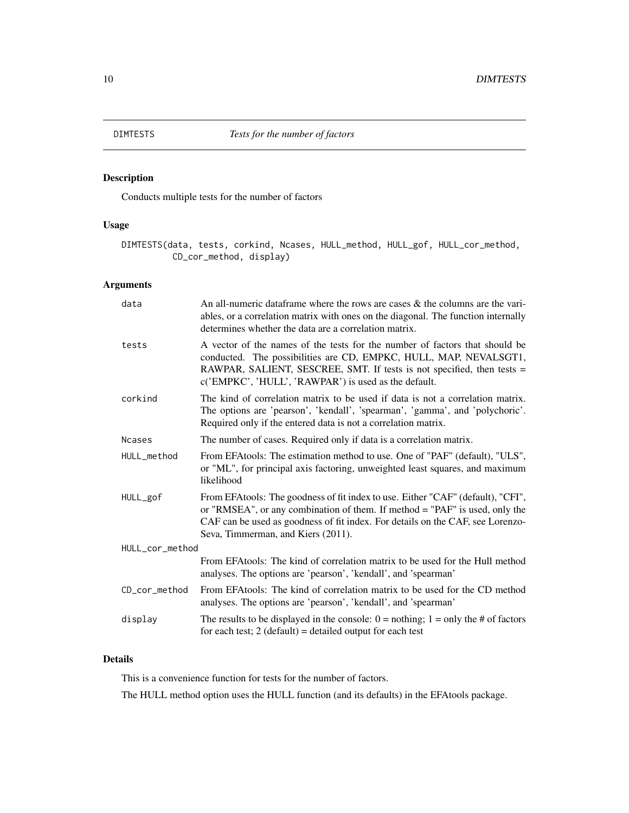<span id="page-9-0"></span>

## Description

Conducts multiple tests for the number of factors

## Usage

```
DIMTESTS(data, tests, corkind, Ncases, HULL_method, HULL_gof, HULL_cor_method,
          CD_cor_method, display)
```
## Arguments

| data            | An all-numeric data frame where the rows are cases $\&$ the columns are the vari-<br>ables, or a correlation matrix with ones on the diagonal. The function internally<br>determines whether the data are a correlation matrix.                                                        |  |
|-----------------|----------------------------------------------------------------------------------------------------------------------------------------------------------------------------------------------------------------------------------------------------------------------------------------|--|
| tests           | A vector of the names of the tests for the number of factors that should be<br>conducted. The possibilities are CD, EMPKC, HULL, MAP, NEVALSGT1,<br>RAWPAR, SALIENT, SESCREE, SMT. If tests is not specified, then tests =<br>c('EMPKC', 'HULL', 'RAWPAR') is used as the default.     |  |
| corkind         | The kind of correlation matrix to be used if data is not a correlation matrix.<br>The options are 'pearson', 'kendall', 'spearman', 'gamma', and 'polychoric'.<br>Required only if the entered data is not a correlation matrix.                                                       |  |
| <b>Ncases</b>   | The number of cases. Required only if data is a correlation matrix.                                                                                                                                                                                                                    |  |
| HULL_method     | From EFAtools: The estimation method to use. One of "PAF" (default), "ULS",<br>or "ML", for principal axis factoring, unweighted least squares, and maximum<br>likelihood                                                                                                              |  |
| HULL_gof        | From EFAtools: The goodness of fit index to use. Either "CAF" (default), "CFI",<br>or "RMSEA", or any combination of them. If method = "PAF" is used, only the<br>CAF can be used as goodness of fit index. For details on the CAF, see Lorenzo-<br>Seva, Timmerman, and Kiers (2011). |  |
| HULL_cor_method |                                                                                                                                                                                                                                                                                        |  |
|                 | From EFA tools: The kind of correlation matrix to be used for the Hull method<br>analyses. The options are 'pearson', 'kendall', and 'spearman'                                                                                                                                        |  |
| CD cor method   | From EFAtools: The kind of correlation matrix to be used for the CD method<br>analyses. The options are 'pearson', 'kendall', and 'spearman'                                                                                                                                           |  |
| display         | The results to be displayed in the console: $0 = \text{nothing}$ ; $1 = \text{only the } \# \text{ of factors}$<br>for each test; $2$ (default) = detailed output for each test                                                                                                        |  |

## Details

This is a convenience function for tests for the number of factors.

The HULL method option uses the HULL function (and its defaults) in the EFAtools package.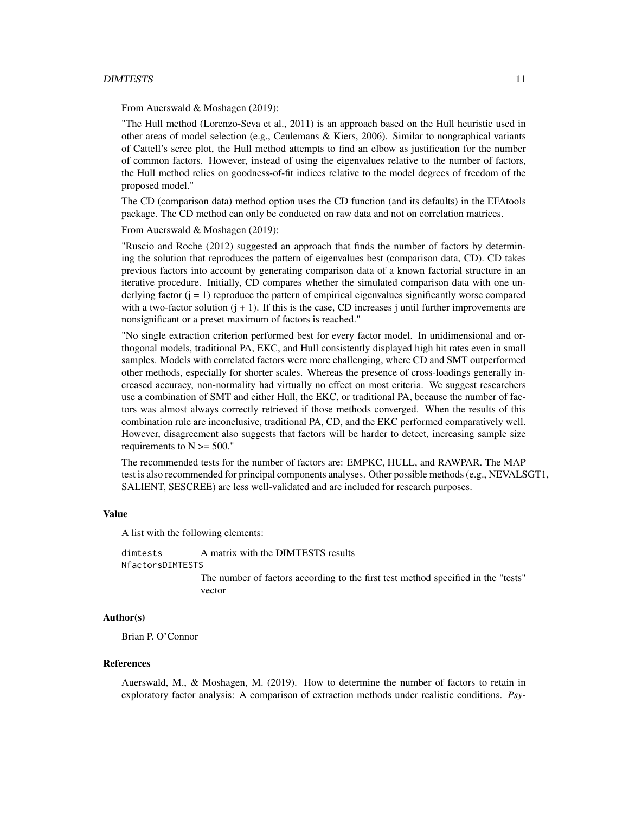#### DIMTESTS 11

From Auerswald & Moshagen (2019):

"The Hull method (Lorenzo-Seva et al., 2011) is an approach based on the Hull heuristic used in other areas of model selection (e.g., Ceulemans & Kiers, 2006). Similar to nongraphical variants of Cattell's scree plot, the Hull method attempts to find an elbow as justification for the number of common factors. However, instead of using the eigenvalues relative to the number of factors, the Hull method relies on goodness-of-fit indices relative to the model degrees of freedom of the proposed model."

The CD (comparison data) method option uses the CD function (and its defaults) in the EFAtools package. The CD method can only be conducted on raw data and not on correlation matrices.

From Auerswald & Moshagen (2019):

"Ruscio and Roche (2012) suggested an approach that finds the number of factors by determining the solution that reproduces the pattern of eigenvalues best (comparison data, CD). CD takes previous factors into account by generating comparison data of a known factorial structure in an iterative procedure. Initially, CD compares whether the simulated comparison data with one underlying factor  $(j = 1)$  reproduce the pattern of empirical eigenvalues significantly worse compared with a two-factor solution  $(j + 1)$ . If this is the case, CD increases j until further improvements are nonsignificant or a preset maximum of factors is reached."

"No single extraction criterion performed best for every factor model. In unidimensional and orthogonal models, traditional PA, EKC, and Hull consistently displayed high hit rates even in small samples. Models with correlated factors were more challenging, where CD and SMT outperformed other methods, especially for shorter scales. Whereas the presence of cross-loadings generally increased accuracy, non-normality had virtually no effect on most criteria. We suggest researchers use a combination of SMT and either Hull, the EKC, or traditional PA, because the number of factors was almost always correctly retrieved if those methods converged. When the results of this combination rule are inconclusive, traditional PA, CD, and the EKC performed comparatively well. However, disagreement also suggests that factors will be harder to detect, increasing sample size requirements to  $N \ge 500$ ."

The recommended tests for the number of factors are: EMPKC, HULL, and RAWPAR. The MAP test is also recommended for principal components analyses. Other possible methods (e.g., NEVALSGT1, SALIENT, SESCREE) are less well-validated and are included for research purposes.

#### Value

A list with the following elements:

dimtests A matrix with the DIMTESTS results NfactorsDIMTESTS

> The number of factors according to the first test method specified in the "tests" vector

#### Author(s)

Brian P. O'Connor

#### References

Auerswald, M., & Moshagen, M. (2019). How to determine the number of factors to retain in exploratory factor analysis: A comparison of extraction methods under realistic conditions. *Psy-*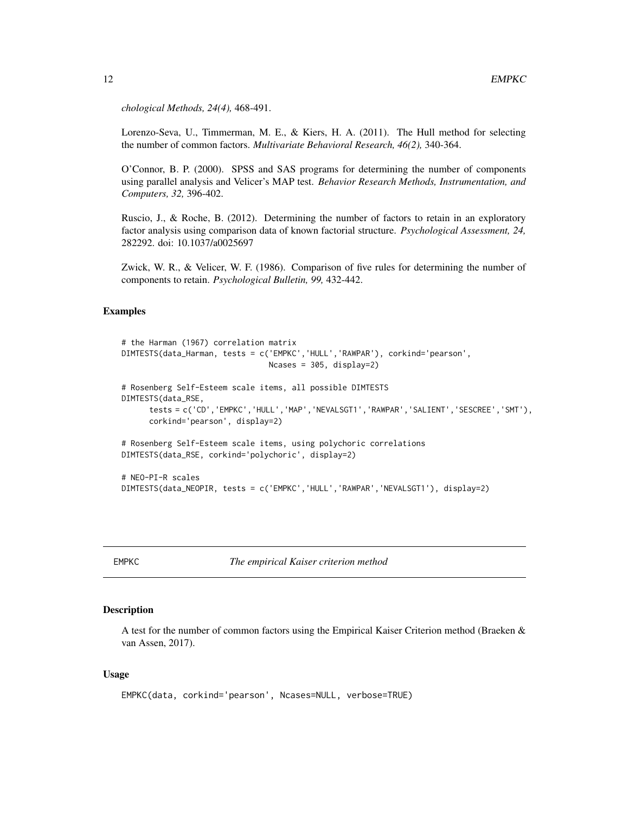*chological Methods, 24(4),* 468-491.

Lorenzo-Seva, U., Timmerman, M. E., & Kiers, H. A. (2011). The Hull method for selecting the number of common factors. *Multivariate Behavioral Research, 46(2),* 340-364.

O'Connor, B. P. (2000). SPSS and SAS programs for determining the number of components using parallel analysis and Velicer's MAP test. *Behavior Research Methods, Instrumentation, and Computers, 32,* 396-402.

Ruscio, J., & Roche, B. (2012). Determining the number of factors to retain in an exploratory factor analysis using comparison data of known factorial structure. *Psychological Assessment, 24,* 282292. doi: 10.1037/a0025697

Zwick, W. R., & Velicer, W. F. (1986). Comparison of five rules for determining the number of components to retain. *Psychological Bulletin, 99,* 432-442.

## Examples

```
# the Harman (1967) correlation matrix
DIMTESTS(data_Harman, tests = c('EMPKC','HULL','RAWPAR'), corkind='pearson',
                                Ncases = 305, display=2)
# Rosenberg Self-Esteem scale items, all possible DIMTESTS
DIMTESTS(data_RSE,
      tests = c('CD','EMPKC','HULL','MAP','NEVALSGT1','RAWPAR','SALIENT','SESCREE','SMT'),
      corkind='pearson', display=2)
# Rosenberg Self-Esteem scale items, using polychoric correlations
DIMTESTS(data_RSE, corkind='polychoric', display=2)
# NEO-PI-R scales
DIMTESTS(data_NEOPIR, tests = c('EMPKC','HULL','RAWPAR','NEVALSGT1'), display=2)
```
EMPKC *The empirical Kaiser criterion method*

## Description

A test for the number of common factors using the Empirical Kaiser Criterion method (Braeken & van Assen, 2017).

#### Usage

```
EMPKC(data, corkind='pearson', Ncases=NULL, verbose=TRUE)
```
<span id="page-11-0"></span>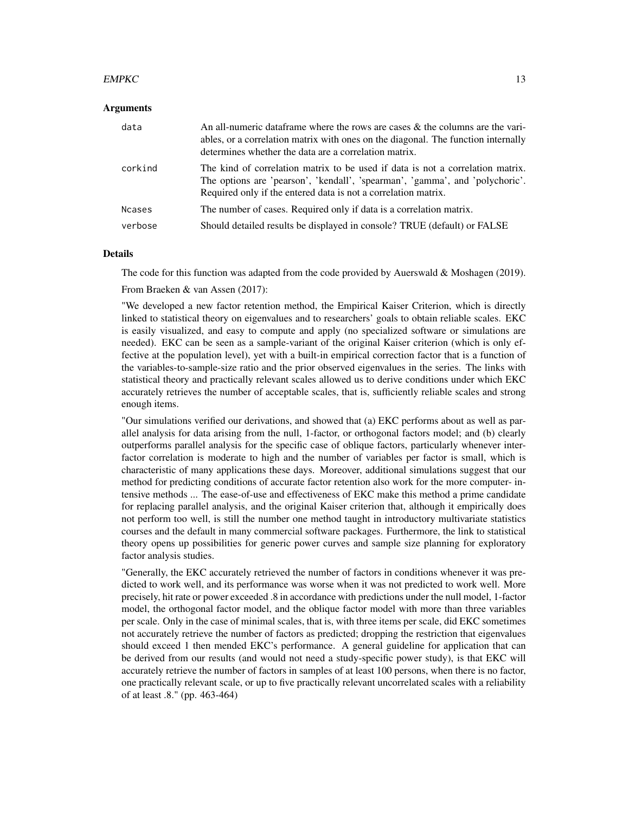#### $EMPKC$  13

#### **Arguments**

| data    | An all-numeric data frame where the rows are cases $\&$ the columns are the vari-<br>ables, or a correlation matrix with ones on the diagonal. The function internally<br>determines whether the data are a correlation matrix.  |
|---------|----------------------------------------------------------------------------------------------------------------------------------------------------------------------------------------------------------------------------------|
| corkind | The kind of correlation matrix to be used if data is not a correlation matrix.<br>The options are 'pearson', 'kendall', 'spearman', 'gamma', and 'polychoric'.<br>Required only if the entered data is not a correlation matrix. |
| Ncases  | The number of cases. Required only if data is a correlation matrix.                                                                                                                                                              |
| verbose | Should detailed results be displayed in console? TRUE (default) or FALSE                                                                                                                                                         |

#### Details

The code for this function was adapted from the code provided by Auerswald & Moshagen (2019).

From Braeken & van Assen (2017):

"We developed a new factor retention method, the Empirical Kaiser Criterion, which is directly linked to statistical theory on eigenvalues and to researchers' goals to obtain reliable scales. EKC is easily visualized, and easy to compute and apply (no specialized software or simulations are needed). EKC can be seen as a sample-variant of the original Kaiser criterion (which is only effective at the population level), yet with a built-in empirical correction factor that is a function of the variables-to-sample-size ratio and the prior observed eigenvalues in the series. The links with statistical theory and practically relevant scales allowed us to derive conditions under which EKC accurately retrieves the number of acceptable scales, that is, sufficiently reliable scales and strong enough items.

"Our simulations verified our derivations, and showed that (a) EKC performs about as well as parallel analysis for data arising from the null, 1-factor, or orthogonal factors model; and (b) clearly outperforms parallel analysis for the specific case of oblique factors, particularly whenever interfactor correlation is moderate to high and the number of variables per factor is small, which is characteristic of many applications these days. Moreover, additional simulations suggest that our method for predicting conditions of accurate factor retention also work for the more computer- intensive methods ... The ease-of-use and effectiveness of EKC make this method a prime candidate for replacing parallel analysis, and the original Kaiser criterion that, although it empirically does not perform too well, is still the number one method taught in introductory multivariate statistics courses and the default in many commercial software packages. Furthermore, the link to statistical theory opens up possibilities for generic power curves and sample size planning for exploratory factor analysis studies.

"Generally, the EKC accurately retrieved the number of factors in conditions whenever it was predicted to work well, and its performance was worse when it was not predicted to work well. More precisely, hit rate or power exceeded .8 in accordance with predictions under the null model, 1-factor model, the orthogonal factor model, and the oblique factor model with more than three variables per scale. Only in the case of minimal scales, that is, with three items per scale, did EKC sometimes not accurately retrieve the number of factors as predicted; dropping the restriction that eigenvalues should exceed 1 then mended EKC's performance. A general guideline for application that can be derived from our results (and would not need a study-specific power study), is that EKC will accurately retrieve the number of factors in samples of at least 100 persons, when there is no factor, one practically relevant scale, or up to five practically relevant uncorrelated scales with a reliability of at least .8." (pp. 463-464)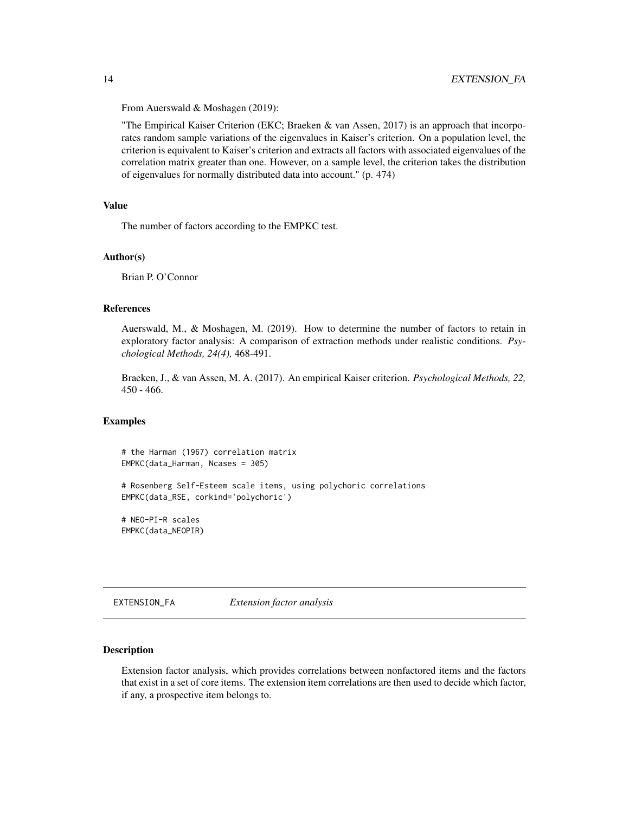From Auerswald & Moshagen (2019):

"The Empirical Kaiser Criterion (EKC; Braeken & van Assen, 2017) is an approach that incorporates random sample variations of the eigenvalues in Kaiser's criterion. On a population level, the criterion is equivalent to Kaiser's criterion and extracts all factors with associated eigenvalues of the correlation matrix greater than one. However, on a sample level, the criterion takes the distribution of eigenvalues for normally distributed data into account." (p. 474)

#### Value

The number of factors according to the EMPKC test.

#### Author(s)

Brian P. O'Connor

#### References

Auerswald, M., & Moshagen, M. (2019). How to determine the number of factors to retain in exploratory factor analysis: A comparison of extraction methods under realistic conditions. *Psychological Methods, 24(4),* 468-491.

Braeken, J., & van Assen, M. A. (2017). An empirical Kaiser criterion. *Psychological Methods, 22,* 450 - 466.

#### Examples

# the Harman (1967) correlation matrix EMPKC(data\_Harman, Ncases = 305)

# Rosenberg Self-Esteem scale items, using polychoric correlations EMPKC(data\_RSE, corkind='polychoric')

# NEO-PI-R scales EMPKC(data\_NEOPIR)

EXTENSION\_FA *Extension factor analysis*

#### Description

Extension factor analysis, which provides correlations between nonfactored items and the factors that exist in a set of core items. The extension item correlations are then used to decide which factor, if any, a prospective item belongs to.

<span id="page-13-0"></span>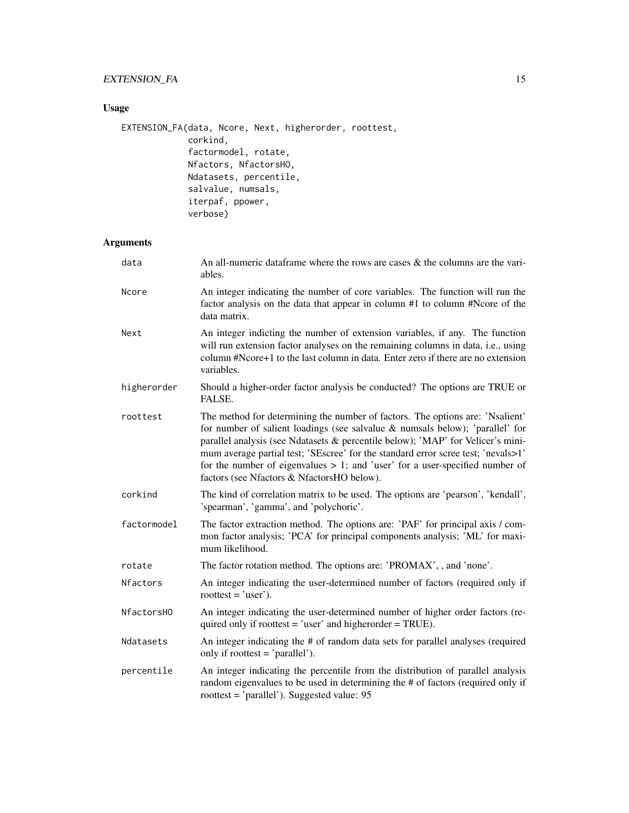## EXTENSION\_FA 15

## Usage

```
EXTENSION_FA(data, Ncore, Next, higherorder, roottest,
             corkind,
             factormodel, rotate,
             Nfactors, NfactorsHO,
             Ndatasets, percentile,
             salvalue, numsals,
             iterpaf, ppower,
             verbose)
```
## Arguments

| data        | An all-numeric data frame where the rows are cases $\&$ the columns are the vari-<br>ables.                                                                                                                                                                                                                                                                                                                                                                             |
|-------------|-------------------------------------------------------------------------------------------------------------------------------------------------------------------------------------------------------------------------------------------------------------------------------------------------------------------------------------------------------------------------------------------------------------------------------------------------------------------------|
| Ncore       | An integer indicating the number of core variables. The function will run the<br>factor analysis on the data that appear in column #1 to column #Ncore of the<br>data matrix.                                                                                                                                                                                                                                                                                           |
| Next        | An integer indicting the number of extension variables, if any. The function<br>will run extension factor analyses on the remaining columns in data, i.e., using<br>column #Ncore+1 to the last column in data. Enter zero if there are no extension<br>variables.                                                                                                                                                                                                      |
| higherorder | Should a higher-order factor analysis be conducted? The options are TRUE or<br>FALSE.                                                                                                                                                                                                                                                                                                                                                                                   |
| roottest    | The method for determining the number of factors. The options are: 'Nsalient'<br>for number of salient loadings (see salvalue & numsals below); 'parallel' for<br>parallel analysis (see Ndatasets & percentile below); 'MAP' for Velicer's mini-<br>mum average partial test; 'SEscree' for the standard error scree test; 'nevals>1'<br>for the number of eigenvalues $> 1$ ; and 'user' for a user-specified number of<br>factors (see Nfactors & NfactorsHO below). |
| corkind     | The kind of correlation matrix to be used. The options are 'pearson', 'kendall',<br>'spearman', 'gamma', and 'polychoric'.                                                                                                                                                                                                                                                                                                                                              |
| factormodel | The factor extraction method. The options are: 'PAF' for principal axis / com-<br>mon factor analysis; 'PCA' for principal components analysis; 'ML' for maxi-<br>mum likelihood.                                                                                                                                                                                                                                                                                       |
| rotate      | The factor rotation method. The options are: 'PROMAX', , and 'none'.                                                                                                                                                                                                                                                                                                                                                                                                    |
| Nfactors    | An integer indicating the user-determined number of factors (required only if<br>roottest = 'user').                                                                                                                                                                                                                                                                                                                                                                    |
| NfactorsH0  | An integer indicating the user-determined number of higher order factors (re-<br>quired only if roottest = 'user' and higherorder = TRUE).                                                                                                                                                                                                                                                                                                                              |
| Ndatasets   | An integer indicating the # of random data sets for parallel analyses (required<br>only if roottest = 'parallel').                                                                                                                                                                                                                                                                                                                                                      |
| percentile  | An integer indicating the percentile from the distribution of parallel analysis<br>random eigenvalues to be used in determining the # of factors (required only if<br>roottest = 'parallel'). Suggested value: 95                                                                                                                                                                                                                                                       |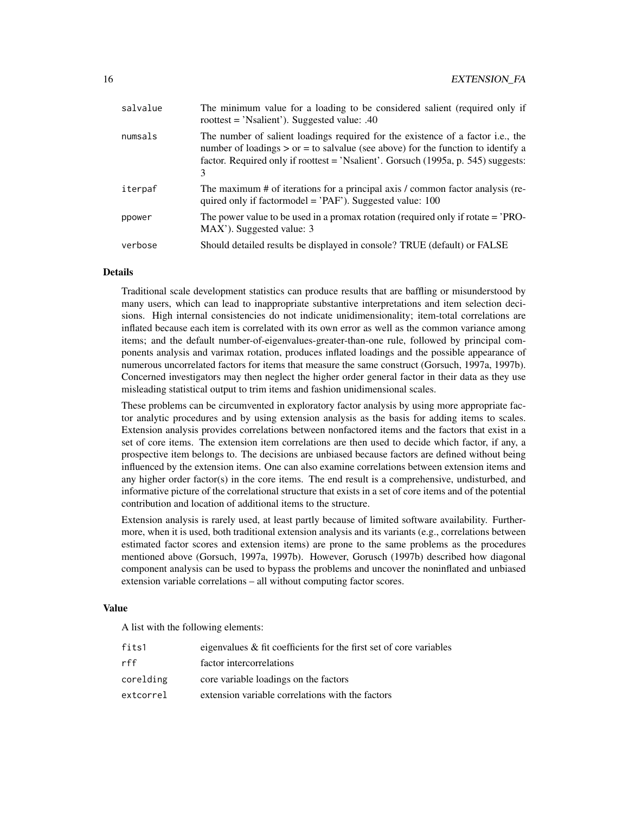| salvalue | The minimum value for a loading to be considered salient (required only if<br>roottest = 'Nsalient'). Suggested value: $.40$                                                                                                                                              |
|----------|---------------------------------------------------------------------------------------------------------------------------------------------------------------------------------------------------------------------------------------------------------------------------|
| numsals  | The number of salient loadings required for the existence of a factor <i>i.e.</i> , the<br>number of loadings $>$ or $=$ to salvalue (see above) for the function to identify a<br>factor. Required only if roottest = 'Nsalient'. Gorsuch (1995a, p. 545) suggests:<br>3 |
| iterpaf  | The maximum # of iterations for a principal axis / common factor analysis (re-<br>quired only if factormodel = $'PAF'$ ). Suggested value: 100                                                                                                                            |
| ppower   | The power value to be used in a promax rotation (required only if rotate $=$ $'PRO-$<br>MAX'). Suggested value: 3                                                                                                                                                         |
| verbose  | Should detailed results be displayed in console? TRUE (default) or FALSE                                                                                                                                                                                                  |
|          |                                                                                                                                                                                                                                                                           |

## Details

Traditional scale development statistics can produce results that are baffling or misunderstood by many users, which can lead to inappropriate substantive interpretations and item selection decisions. High internal consistencies do not indicate unidimensionality; item-total correlations are inflated because each item is correlated with its own error as well as the common variance among items; and the default number-of-eigenvalues-greater-than-one rule, followed by principal components analysis and varimax rotation, produces inflated loadings and the possible appearance of numerous uncorrelated factors for items that measure the same construct (Gorsuch, 1997a, 1997b). Concerned investigators may then neglect the higher order general factor in their data as they use misleading statistical output to trim items and fashion unidimensional scales.

These problems can be circumvented in exploratory factor analysis by using more appropriate factor analytic procedures and by using extension analysis as the basis for adding items to scales. Extension analysis provides correlations between nonfactored items and the factors that exist in a set of core items. The extension item correlations are then used to decide which factor, if any, a prospective item belongs to. The decisions are unbiased because factors are defined without being influenced by the extension items. One can also examine correlations between extension items and any higher order factor(s) in the core items. The end result is a comprehensive, undisturbed, and informative picture of the correlational structure that exists in a set of core items and of the potential contribution and location of additional items to the structure.

Extension analysis is rarely used, at least partly because of limited software availability. Furthermore, when it is used, both traditional extension analysis and its variants (e.g., correlations between estimated factor scores and extension items) are prone to the same problems as the procedures mentioned above (Gorsuch, 1997a, 1997b). However, Gorusch (1997b) described how diagonal component analysis can be used to bypass the problems and uncover the noninflated and unbiased extension variable correlations – all without computing factor scores.

#### Value

A list with the following elements:

| fits1     | eigenvalues $\&$ fit coefficients for the first set of core variables |
|-----------|-----------------------------------------------------------------------|
| rff       | factor intercorrelations                                              |
| corelding | core variable loadings on the factors                                 |
| extcorrel | extension variable correlations with the factors                      |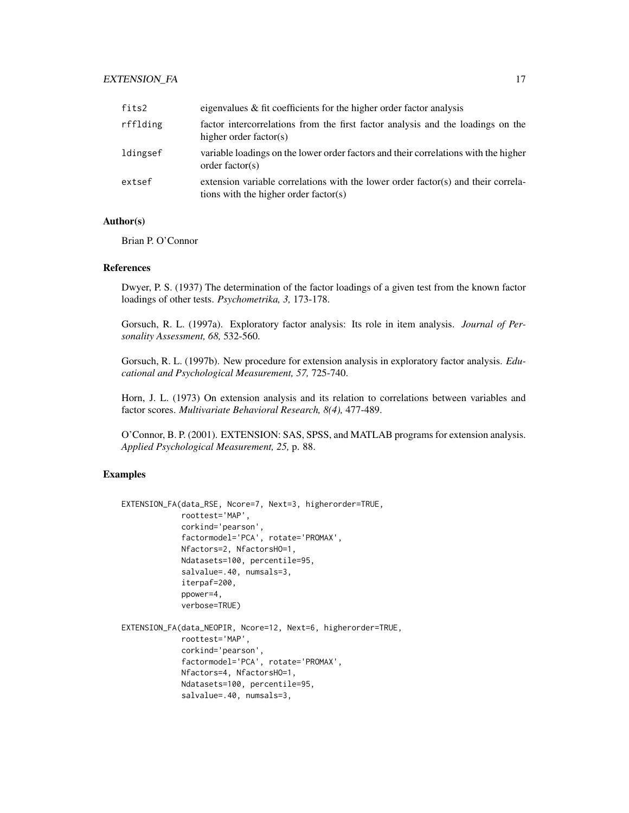## EXTENSION\_FA 17

| fits2    | eigenvalues $\&$ fit coefficients for the higher order factor analysis                                                     |
|----------|----------------------------------------------------------------------------------------------------------------------------|
| rfflding | factor intercorrelations from the first factor analysis and the loadings on the<br>higher order factor(s)                  |
| ldingsef | variable loadings on the lower order factors and their correlations with the higher<br>order factor(s)                     |
| extsef   | extension variable correlations with the lower order factor(s) and their correla-<br>tions with the higher order factor(s) |

#### Author(s)

Brian P. O'Connor

#### References

Dwyer, P. S. (1937) The determination of the factor loadings of a given test from the known factor loadings of other tests. *Psychometrika, 3,* 173-178.

Gorsuch, R. L. (1997a). Exploratory factor analysis: Its role in item analysis. *Journal of Personality Assessment, 68,* 532-560.

Gorsuch, R. L. (1997b). New procedure for extension analysis in exploratory factor analysis. *Educational and Psychological Measurement, 57,* 725-740.

Horn, J. L. (1973) On extension analysis and its relation to correlations between variables and factor scores. *Multivariate Behavioral Research, 8(4),* 477-489.

O'Connor, B. P. (2001). EXTENSION: SAS, SPSS, and MATLAB programs for extension analysis. *Applied Psychological Measurement, 25,* p. 88.

## Examples

```
EXTENSION_FA(data_RSE, Ncore=7, Next=3, higherorder=TRUE,
             roottest='MAP',
             corkind='pearson',
             factormodel='PCA', rotate='PROMAX',
             Nfactors=2, NfactorsHO=1,
             Ndatasets=100, percentile=95,
             salvalue=.40, numsals=3,
             iterpaf=200,
             ppower=4,
             verbose=TRUE)
EXTENSION_FA(data_NEOPIR, Ncore=12, Next=6, higherorder=TRUE,
             roottest='MAP',
             corkind='pearson',
             factormodel='PCA', rotate='PROMAX',
             Nfactors=4, NfactorsHO=1,
```
Ndatasets=100, percentile=95, salvalue=.40, numsals=3,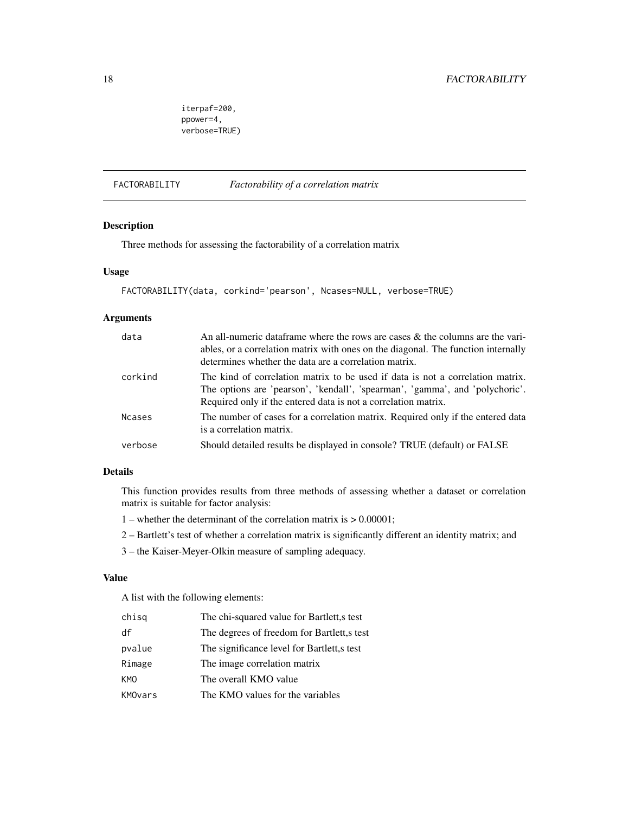<span id="page-17-0"></span>iterpaf=200, ppower=4, verbose=TRUE)

FACTORABILITY *Factorability of a correlation matrix*

## Description

Three methods for assessing the factorability of a correlation matrix

## Usage

```
FACTORABILITY(data, corkind='pearson', Ncases=NULL, verbose=TRUE)
```
## Arguments

| data          | An all-numeric data frame where the rows are cases $\&$ the columns are the vari-<br>ables, or a correlation matrix with ones on the diagonal. The function internally<br>determines whether the data are a correlation matrix.  |
|---------------|----------------------------------------------------------------------------------------------------------------------------------------------------------------------------------------------------------------------------------|
| corkind       | The kind of correlation matrix to be used if data is not a correlation matrix.<br>The options are 'pearson', 'kendall', 'spearman', 'gamma', and 'polychoric'.<br>Required only if the entered data is not a correlation matrix. |
| <b>Ncases</b> | The number of cases for a correlation matrix. Required only if the entered data<br>is a correlation matrix.                                                                                                                      |
| verbose       | Should detailed results be displayed in console? TRUE (default) or FALSE                                                                                                                                                         |

#### Details

This function provides results from three methods of assessing whether a dataset or correlation matrix is suitable for factor analysis:

- 1 whether the determinant of the correlation matrix is > 0.00001;
- 2 Bartlett's test of whether a correlation matrix is significantly different an identity matrix; and
- 3 the Kaiser-Meyer-Olkin measure of sampling adequacy.

## Value

A list with the following elements:

| chisq   | The chi-squared value for Bartlett, stest  |
|---------|--------------------------------------------|
| df      | The degrees of freedom for Bartlett, stest |
| pvalue  | The significance level for Bartlett, stest |
| Rimage  | The image correlation matrix               |
| KMO     | The overall KMO value                      |
| KMOvars | The KMO values for the variables           |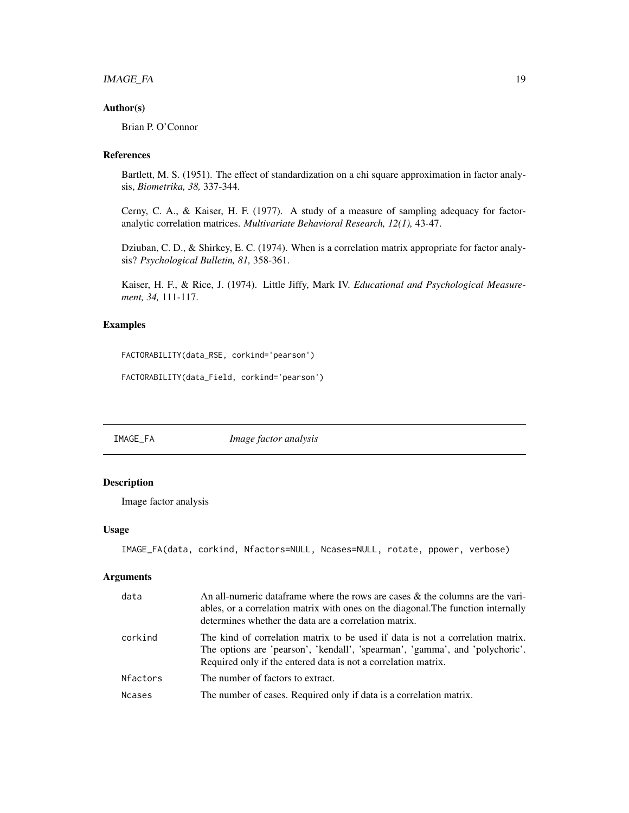## <span id="page-18-0"></span>IMAGE\_FA 19

## Author(s)

Brian P. O'Connor

## References

Bartlett, M. S. (1951). The effect of standardization on a chi square approximation in factor analysis, *Biometrika, 38,* 337-344.

Cerny, C. A., & Kaiser, H. F. (1977). A study of a measure of sampling adequacy for factoranalytic correlation matrices. *Multivariate Behavioral Research, 12(1),* 43-47.

Dziuban, C. D., & Shirkey, E. C. (1974). When is a correlation matrix appropriate for factor analysis? *Psychological Bulletin, 81,* 358-361.

Kaiser, H. F., & Rice, J. (1974). Little Jiffy, Mark IV. *Educational and Psychological Measurement, 34,* 111-117.

## Examples

```
FACTORABILITY(data_RSE, corkind='pearson')
```

```
FACTORABILITY(data_Field, corkind='pearson')
```
IMAGE\_FA *Image factor analysis*

## Description

Image factor analysis

#### Usage

```
IMAGE_FA(data, corkind, Nfactors=NULL, Ncases=NULL, rotate, ppower, verbose)
```
## Arguments

| data     | An all-numeric data frame where the rows are cases $\&$ the columns are the vari-<br>ables, or a correlation matrix with ones on the diagonal. The function internally<br>determines whether the data are a correlation matrix.  |
|----------|----------------------------------------------------------------------------------------------------------------------------------------------------------------------------------------------------------------------------------|
| corkind  | The kind of correlation matrix to be used if data is not a correlation matrix.<br>The options are 'pearson', 'kendall', 'spearman', 'gamma', and 'polychoric'.<br>Required only if the entered data is not a correlation matrix. |
| Nfactors | The number of factors to extract.                                                                                                                                                                                                |
| Ncases   | The number of cases. Required only if data is a correlation matrix.                                                                                                                                                              |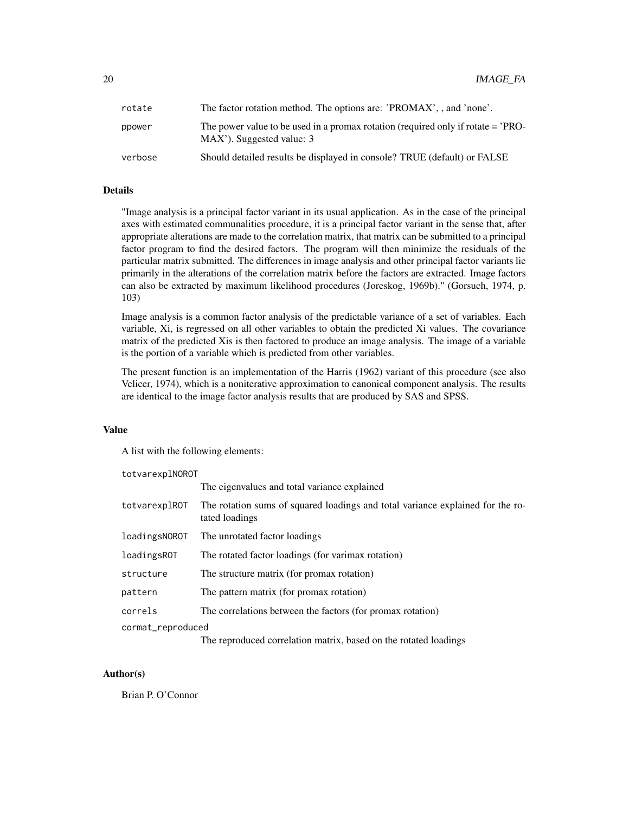| rotate  | The factor rotation method. The options are: 'PROMAX', , and 'none'.                                          |
|---------|---------------------------------------------------------------------------------------------------------------|
| ppower  | The power value to be used in a promax rotation (required only if rotate = 'PRO-<br>MAX'). Suggested value: 3 |
| verbose | Should detailed results be displayed in console? TRUE (default) or FALSE                                      |

#### Details

"Image analysis is a principal factor variant in its usual application. As in the case of the principal axes with estimated communalities procedure, it is a principal factor variant in the sense that, after appropriate alterations are made to the correlation matrix, that matrix can be submitted to a principal factor program to find the desired factors. The program will then minimize the residuals of the particular matrix submitted. The differences in image analysis and other principal factor variants lie primarily in the alterations of the correlation matrix before the factors are extracted. Image factors can also be extracted by maximum likelihood procedures (Joreskog, 1969b)." (Gorsuch, 1974, p. 103)

Image analysis is a common factor analysis of the predictable variance of a set of variables. Each variable, Xi, is regressed on all other variables to obtain the predicted Xi values. The covariance matrix of the predicted Xis is then factored to produce an image analysis. The image of a variable is the portion of a variable which is predicted from other variables.

The present function is an implementation of the Harris (1962) variant of this procedure (see also Velicer, 1974), which is a noniterative approximation to canonical component analysis. The results are identical to the image factor analysis results that are produced by SAS and SPSS.

## Value

A list with the following elements:

totvarexplNOROT

|                   | The eigenvalues and total variance explained                                                     |
|-------------------|--------------------------------------------------------------------------------------------------|
| totvarexplROT     | The rotation sums of squared loadings and total variance explained for the ro-<br>tated loadings |
| loadingsNOROT     | The unrotated factor loadings                                                                    |
| loadingsROT       | The rotated factor loadings (for varimax rotation)                                               |
| structure         | The structure matrix (for promax rotation)                                                       |
| pattern           | The pattern matrix (for promax rotation)                                                         |
| correls           | The correlations between the factors (for promax rotation)                                       |
| cormat_reproduced |                                                                                                  |
|                   | The reproduced correlation matrix, based on the rotated loadings                                 |

## Author(s)

Brian P. O'Connor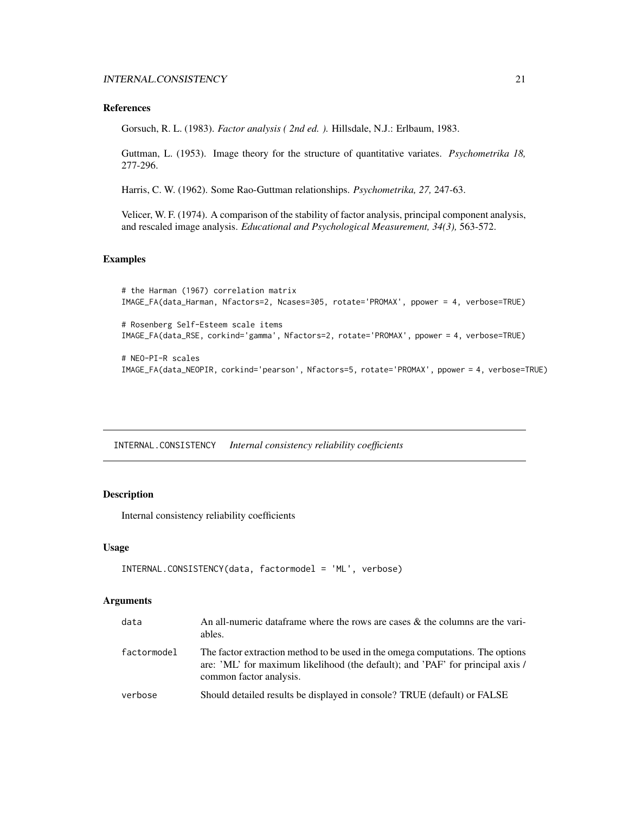#### <span id="page-20-0"></span>References

Gorsuch, R. L. (1983). *Factor analysis ( 2nd ed. ).* Hillsdale, N.J.: Erlbaum, 1983.

Guttman, L. (1953). Image theory for the structure of quantitative variates. *Psychometrika 18,* 277-296.

Harris, C. W. (1962). Some Rao-Guttman relationships. *Psychometrika, 27,* 247-63.

Velicer, W. F. (1974). A comparison of the stability of factor analysis, principal component analysis, and rescaled image analysis. *Educational and Psychological Measurement, 34(3),* 563-572.

#### Examples

```
# the Harman (1967) correlation matrix
IMAGE_FA(data_Harman, Nfactors=2, Ncases=305, rotate='PROMAX', ppower = 4, verbose=TRUE)
# Rosenberg Self-Esteem scale items
IMAGE_FA(data_RSE, corkind='gamma', Nfactors=2, rotate='PROMAX', ppower = 4, verbose=TRUE)
# NEO-PI-R scales
IMAGE_FA(data_NEOPIR, corkind='pearson', Nfactors=5, rotate='PROMAX', ppower = 4, verbose=TRUE)
```
INTERNAL.CONSISTENCY *Internal consistency reliability coefficients*

## Description

Internal consistency reliability coefficients

## Usage

```
INTERNAL.CONSISTENCY(data, factormodel = 'ML', verbose)
```
#### Arguments

| data        | An all-numeric data frame where the rows are cases $\&$ the columns are the vari-<br>ables.                                                                                                 |
|-------------|---------------------------------------------------------------------------------------------------------------------------------------------------------------------------------------------|
| factormodel | The factor extraction method to be used in the omega computations. The options<br>are: 'ML' for maximum likelihood (the default); and 'PAF' for principal axis /<br>common factor analysis. |
| verbose     | Should detailed results be displayed in console? TRUE (default) or FALSE                                                                                                                    |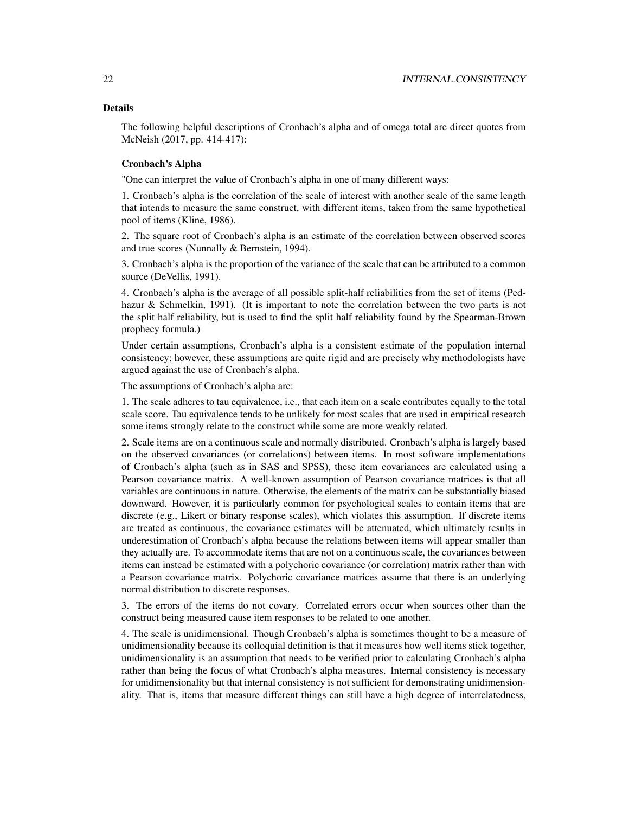## Details

The following helpful descriptions of Cronbach's alpha and of omega total are direct quotes from McNeish (2017, pp. 414-417):

## Cronbach's Alpha

"One can interpret the value of Cronbach's alpha in one of many different ways:

1. Cronbach's alpha is the correlation of the scale of interest with another scale of the same length that intends to measure the same construct, with different items, taken from the same hypothetical pool of items (Kline, 1986).

2. The square root of Cronbach's alpha is an estimate of the correlation between observed scores and true scores (Nunnally & Bernstein, 1994).

3. Cronbach's alpha is the proportion of the variance of the scale that can be attributed to a common source (DeVellis, 1991).

4. Cronbach's alpha is the average of all possible split-half reliabilities from the set of items (Pedhazur & Schmelkin, 1991). (It is important to note the correlation between the two parts is not the split half reliability, but is used to find the split half reliability found by the Spearman-Brown prophecy formula.)

Under certain assumptions, Cronbach's alpha is a consistent estimate of the population internal consistency; however, these assumptions are quite rigid and are precisely why methodologists have argued against the use of Cronbach's alpha.

The assumptions of Cronbach's alpha are:

1. The scale adheres to tau equivalence, i.e., that each item on a scale contributes equally to the total scale score. Tau equivalence tends to be unlikely for most scales that are used in empirical research some items strongly relate to the construct while some are more weakly related.

2. Scale items are on a continuous scale and normally distributed. Cronbach's alpha is largely based on the observed covariances (or correlations) between items. In most software implementations of Cronbach's alpha (such as in SAS and SPSS), these item covariances are calculated using a Pearson covariance matrix. A well-known assumption of Pearson covariance matrices is that all variables are continuous in nature. Otherwise, the elements of the matrix can be substantially biased downward. However, it is particularly common for psychological scales to contain items that are discrete (e.g., Likert or binary response scales), which violates this assumption. If discrete items are treated as continuous, the covariance estimates will be attenuated, which ultimately results in underestimation of Cronbach's alpha because the relations between items will appear smaller than they actually are. To accommodate items that are not on a continuous scale, the covariances between items can instead be estimated with a polychoric covariance (or correlation) matrix rather than with a Pearson covariance matrix. Polychoric covariance matrices assume that there is an underlying normal distribution to discrete responses.

3. The errors of the items do not covary. Correlated errors occur when sources other than the construct being measured cause item responses to be related to one another.

4. The scale is unidimensional. Though Cronbach's alpha is sometimes thought to be a measure of unidimensionality because its colloquial definition is that it measures how well items stick together, unidimensionality is an assumption that needs to be verified prior to calculating Cronbach's alpha rather than being the focus of what Cronbach's alpha measures. Internal consistency is necessary for unidimensionality but that internal consistency is not sufficient for demonstrating unidimensionality. That is, items that measure different things can still have a high degree of interrelatedness,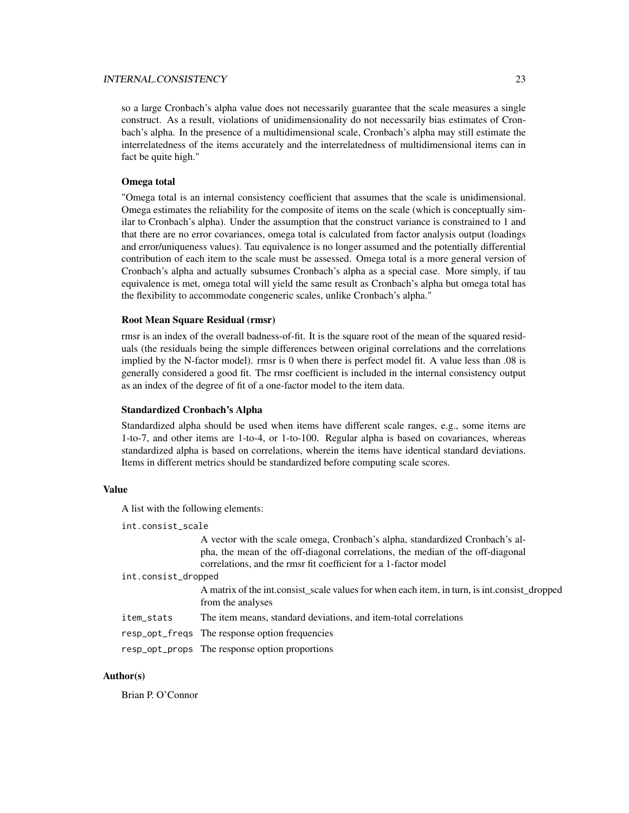#### INTERNAL.CONSISTENCY 23

so a large Cronbach's alpha value does not necessarily guarantee that the scale measures a single construct. As a result, violations of unidimensionality do not necessarily bias estimates of Cronbach's alpha. In the presence of a multidimensional scale, Cronbach's alpha may still estimate the interrelatedness of the items accurately and the interrelatedness of multidimensional items can in fact be quite high."

### Omega total

"Omega total is an internal consistency coefficient that assumes that the scale is unidimensional. Omega estimates the reliability for the composite of items on the scale (which is conceptually similar to Cronbach's alpha). Under the assumption that the construct variance is constrained to 1 and that there are no error covariances, omega total is calculated from factor analysis output (loadings and error/uniqueness values). Tau equivalence is no longer assumed and the potentially differential contribution of each item to the scale must be assessed. Omega total is a more general version of Cronbach's alpha and actually subsumes Cronbach's alpha as a special case. More simply, if tau equivalence is met, omega total will yield the same result as Cronbach's alpha but omega total has the flexibility to accommodate congeneric scales, unlike Cronbach's alpha."

#### Root Mean Square Residual (rmsr)

rmsr is an index of the overall badness-of-fit. It is the square root of the mean of the squared residuals (the residuals being the simple differences between original correlations and the correlations implied by the N-factor model). rmsr is 0 when there is perfect model fit. A value less than .08 is generally considered a good fit. The rmsr coefficient is included in the internal consistency output as an index of the degree of fit of a one-factor model to the item data.

#### Standardized Cronbach's Alpha

Standardized alpha should be used when items have different scale ranges, e.g., some items are 1-to-7, and other items are 1-to-4, or 1-to-100. Regular alpha is based on covariances, whereas standardized alpha is based on correlations, wherein the items have identical standard deviations. Items in different metrics should be standardized before computing scale scores.

#### Value

A list with the following elements:

int.consist\_scale

A vector with the scale omega, Cronbach's alpha, standardized Cronbach's alpha, the mean of the off-diagonal correlations, the median of the off-diagonal correlations, and the rmsr fit coefficient for a 1-factor model

int.consist\_dropped

A matrix of the int.consist scale values for when each item, in turn, is int.consist dropped from the analyses

item\_stats The item means, standard deviations, and item-total correlations

resp\_opt\_freqs The response option frequencies

resp\_opt\_props The response option proportions

## Author(s)

Brian P. O'Connor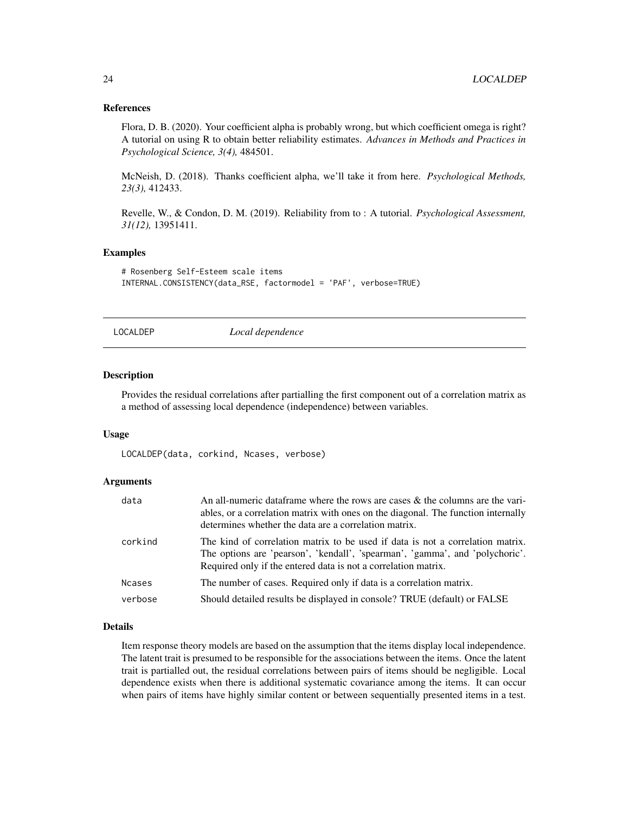#### References

Flora, D. B. (2020). Your coefficient alpha is probably wrong, but which coefficient omega is right? A tutorial on using R to obtain better reliability estimates. *Advances in Methods and Practices in Psychological Science, 3(4),* 484501.

McNeish, D. (2018). Thanks coefficient alpha, we'll take it from here. *Psychological Methods, 23(3),* 412433.

Revelle, W., & Condon, D. M. (2019). Reliability from to : A tutorial. *Psychological Assessment, 31(12),* 13951411.

## Examples

```
# Rosenberg Self-Esteem scale items
INTERNAL.CONSISTENCY(data_RSE, factormodel = 'PAF', verbose=TRUE)
```
LOCALDEP *Local dependence*

#### Description

Provides the residual correlations after partialling the first component out of a correlation matrix as a method of assessing local dependence (independence) between variables.

#### Usage

LOCALDEP(data, corkind, Ncases, verbose)

#### Arguments

| data          | An all-numeric data frame where the rows are cases $\&$ the columns are the vari-<br>ables, or a correlation matrix with ones on the diagonal. The function internally<br>determines whether the data are a correlation matrix.  |
|---------------|----------------------------------------------------------------------------------------------------------------------------------------------------------------------------------------------------------------------------------|
| corkind       | The kind of correlation matrix to be used if data is not a correlation matrix.<br>The options are 'pearson', 'kendall', 'spearman', 'gamma', and 'polychoric'.<br>Required only if the entered data is not a correlation matrix. |
| <b>Ncases</b> | The number of cases. Required only if data is a correlation matrix.                                                                                                                                                              |
| verbose       | Should detailed results be displayed in console? TRUE (default) or FALSE                                                                                                                                                         |

## Details

Item response theory models are based on the assumption that the items display local independence. The latent trait is presumed to be responsible for the associations between the items. Once the latent trait is partialled out, the residual correlations between pairs of items should be negligible. Local dependence exists when there is additional systematic covariance among the items. It can occur when pairs of items have highly similar content or between sequentially presented items in a test.

<span id="page-23-0"></span>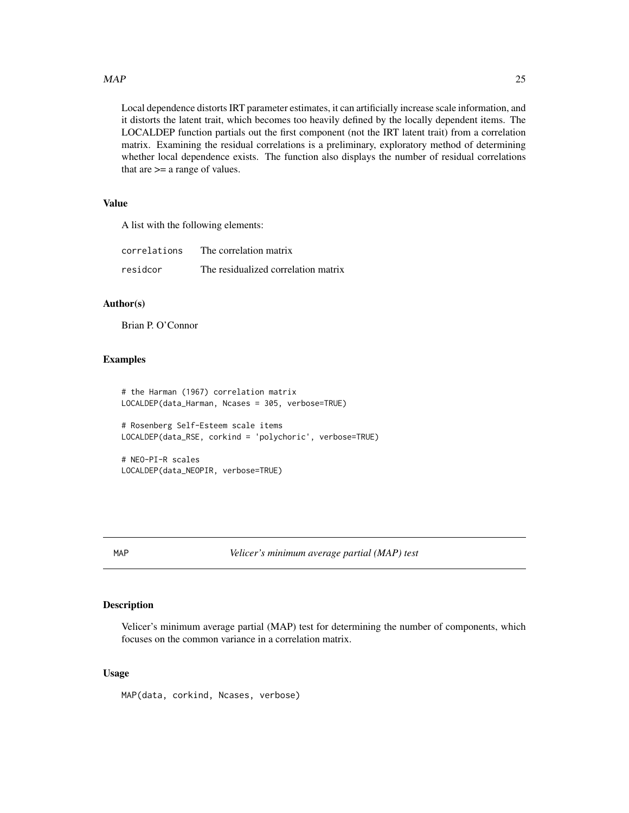#### <span id="page-24-0"></span> $MAP$  25

Local dependence distorts IRT parameter estimates, it can artificially increase scale information, and it distorts the latent trait, which becomes too heavily defined by the locally dependent items. The LOCALDEP function partials out the first component (not the IRT latent trait) from a correlation matrix. Examining the residual correlations is a preliminary, exploratory method of determining whether local dependence exists. The function also displays the number of residual correlations that are >= a range of values.

## Value

A list with the following elements:

| correlations | The correlation matrix              |
|--------------|-------------------------------------|
| residcor     | The residualized correlation matrix |

## Author(s)

Brian P. O'Connor

#### Examples

```
# the Harman (1967) correlation matrix
LOCALDEP(data_Harman, Ncases = 305, verbose=TRUE)
# Rosenberg Self-Esteem scale items
LOCALDEP(data_RSE, corkind = 'polychoric', verbose=TRUE)
# NEO-PI-R scales
LOCALDEP(data_NEOPIR, verbose=TRUE)
```
MAP *Velicer's minimum average partial (MAP) test*

#### Description

Velicer's minimum average partial (MAP) test for determining the number of components, which focuses on the common variance in a correlation matrix.

#### Usage

MAP(data, corkind, Ncases, verbose)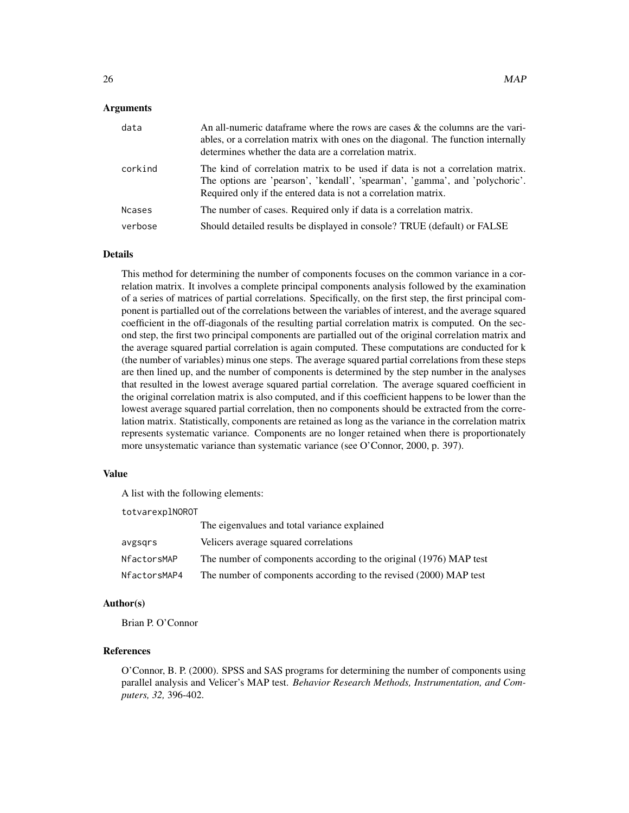#### Arguments

| data          | An all-numeric data frame where the rows are cases $\&$ the columns are the vari-<br>ables, or a correlation matrix with ones on the diagonal. The function internally<br>determines whether the data are a correlation matrix.  |
|---------------|----------------------------------------------------------------------------------------------------------------------------------------------------------------------------------------------------------------------------------|
| corkind       | The kind of correlation matrix to be used if data is not a correlation matrix.<br>The options are 'pearson', 'kendall', 'spearman', 'gamma', and 'polychoric'.<br>Required only if the entered data is not a correlation matrix. |
| <b>Ncases</b> | The number of cases. Required only if data is a correlation matrix.                                                                                                                                                              |
| verbose       | Should detailed results be displayed in console? TRUE (default) or FALSE                                                                                                                                                         |

#### Details

This method for determining the number of components focuses on the common variance in a correlation matrix. It involves a complete principal components analysis followed by the examination of a series of matrices of partial correlations. Specifically, on the first step, the first principal component is partialled out of the correlations between the variables of interest, and the average squared coefficient in the off-diagonals of the resulting partial correlation matrix is computed. On the second step, the first two principal components are partialled out of the original correlation matrix and the average squared partial correlation is again computed. These computations are conducted for k (the number of variables) minus one steps. The average squared partial correlations from these steps are then lined up, and the number of components is determined by the step number in the analyses that resulted in the lowest average squared partial correlation. The average squared coefficient in the original correlation matrix is also computed, and if this coefficient happens to be lower than the lowest average squared partial correlation, then no components should be extracted from the correlation matrix. Statistically, components are retained as long as the variance in the correlation matrix represents systematic variance. Components are no longer retained when there is proportionately more unsystematic variance than systematic variance (see O'Connor, 2000, p. 397).

#### Value

A list with the following elements:

totvarexplNOROT

|              | The eigenvalues and total variance explained                       |
|--------------|--------------------------------------------------------------------|
| avgsgrs      | Velicers average squared correlations                              |
| NfactorsMAP  | The number of components according to the original (1976) MAP test |
| NfactorsMAP4 | The number of components according to the revised (2000) MAP test  |

#### Author(s)

Brian P. O'Connor

## References

O'Connor, B. P. (2000). SPSS and SAS programs for determining the number of components using parallel analysis and Velicer's MAP test. *Behavior Research Methods, Instrumentation, and Computers, 32,* 396-402.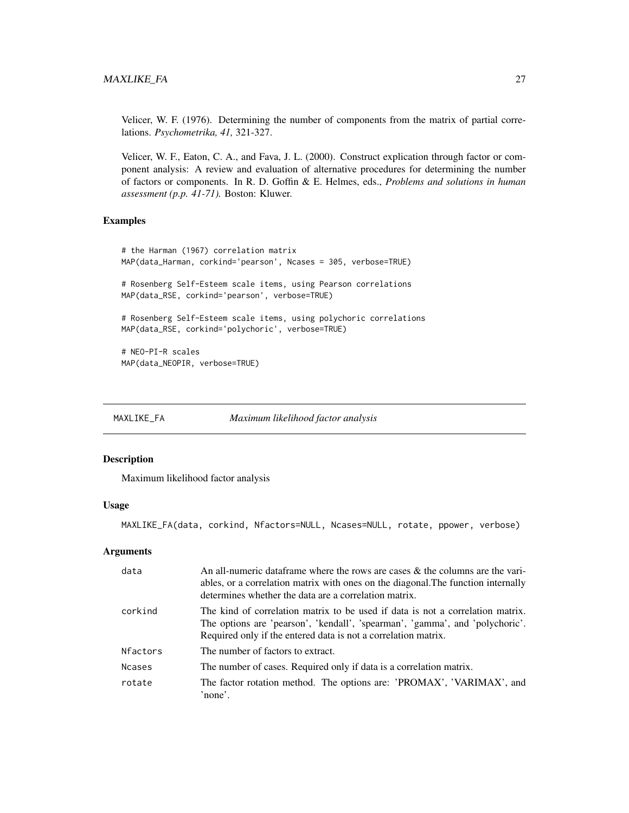<span id="page-26-0"></span>Velicer, W. F. (1976). Determining the number of components from the matrix of partial correlations. *Psychometrika, 41,* 321-327.

Velicer, W. F., Eaton, C. A., and Fava, J. L. (2000). Construct explication through factor or component analysis: A review and evaluation of alternative procedures for determining the number of factors or components. In R. D. Goffin & E. Helmes, eds., *Problems and solutions in human assessment (p.p. 41-71).* Boston: Kluwer.

## Examples

```
# the Harman (1967) correlation matrix
MAP(data_Harman, corkind='pearson', Ncases = 305, verbose=TRUE)
# Rosenberg Self-Esteem scale items, using Pearson correlations
MAP(data_RSE, corkind='pearson', verbose=TRUE)
# Rosenberg Self-Esteem scale items, using polychoric correlations
MAP(data_RSE, corkind='polychoric', verbose=TRUE)
# NEO-PI-R scales
MAP(data_NEOPIR, verbose=TRUE)
```
MAXLIKE\_FA *Maximum likelihood factor analysis*

#### Description

Maximum likelihood factor analysis

#### Usage

MAXLIKE\_FA(data, corkind, Nfactors=NULL, Ncases=NULL, rotate, ppower, verbose)

#### Arguments

| data            | An all-numeric data frame where the rows are cases $\&$ the columns are the vari-<br>ables, or a correlation matrix with ones on the diagonal. The function internally<br>determines whether the data are a correlation matrix.  |
|-----------------|----------------------------------------------------------------------------------------------------------------------------------------------------------------------------------------------------------------------------------|
| corkind         | The kind of correlation matrix to be used if data is not a correlation matrix.<br>The options are 'pearson', 'kendall', 'spearman', 'gamma', and 'polychoric'.<br>Required only if the entered data is not a correlation matrix. |
| <b>Nfactors</b> | The number of factors to extract.                                                                                                                                                                                                |
| <b>Ncases</b>   | The number of cases. Required only if data is a correlation matrix.                                                                                                                                                              |
| rotate          | The factor rotation method. The options are: 'PROMAX', 'VARIMAX', and<br>'none'.                                                                                                                                                 |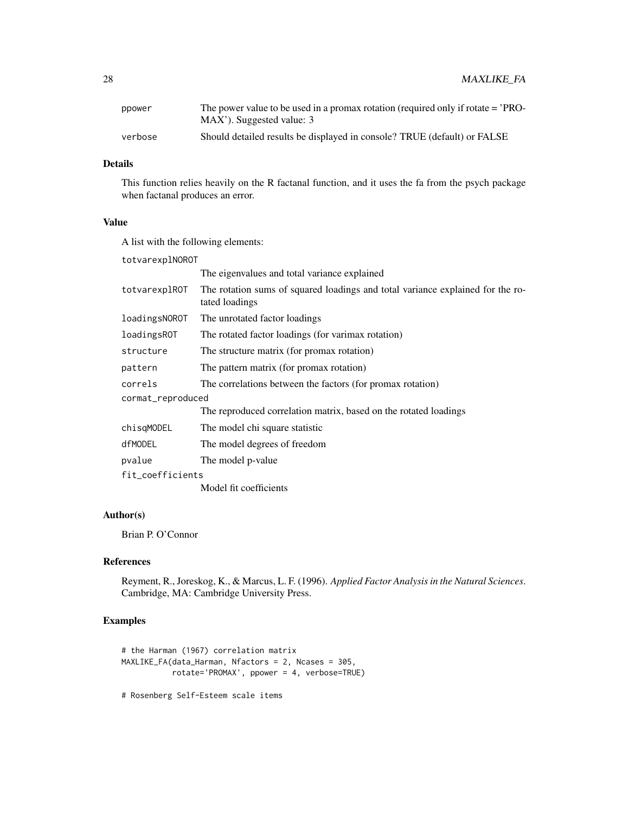| ppower  | The power value to be used in a promax rotation (required only if rotate $=$ $\degree$ PRO- |
|---------|---------------------------------------------------------------------------------------------|
|         | MAX'). Suggested value: 3                                                                   |
| verbose | Should detailed results be displayed in console? TRUE (default) or FALSE                    |

## Details

This function relies heavily on the R factanal function, and it uses the fa from the psych package when factanal produces an error.

## Value

A list with the following elements:

| totvarexplNOROT   |                                                                                                  |  |
|-------------------|--------------------------------------------------------------------------------------------------|--|
|                   | The eigenvalues and total variance explained                                                     |  |
| totvarexplROT     | The rotation sums of squared loadings and total variance explained for the ro-<br>tated loadings |  |
| loadingsNOROT     | The unrotated factor loadings                                                                    |  |
| loadingsROT       | The rotated factor loadings (for varimax rotation)                                               |  |
| structure         | The structure matrix (for promax rotation)                                                       |  |
| pattern           | The pattern matrix (for promax rotation)                                                         |  |
| correls           | The correlations between the factors (for promax rotation)                                       |  |
| cormat_reproduced |                                                                                                  |  |
|                   | The reproduced correlation matrix, based on the rotated loadings                                 |  |
| chisqMODEL        | The model chi square statistic                                                                   |  |
| dfMODEL           | The model degrees of freedom                                                                     |  |
| pvalue            | The model p-value                                                                                |  |
| fit_coefficients  |                                                                                                  |  |
|                   | Model fit coefficients                                                                           |  |

## Author(s)

Brian P. O'Connor

## References

Reyment, R., Joreskog, K., & Marcus, L. F. (1996). *Applied Factor Analysis in the Natural Sciences*. Cambridge, MA: Cambridge University Press.

## Examples

```
# the Harman (1967) correlation matrix
MAXLIKE_FA(data_Harman, Nfactors = 2, Ncases = 305,
           rotate='PROMAX', ppower = 4, verbose=TRUE)
```
# Rosenberg Self-Esteem scale items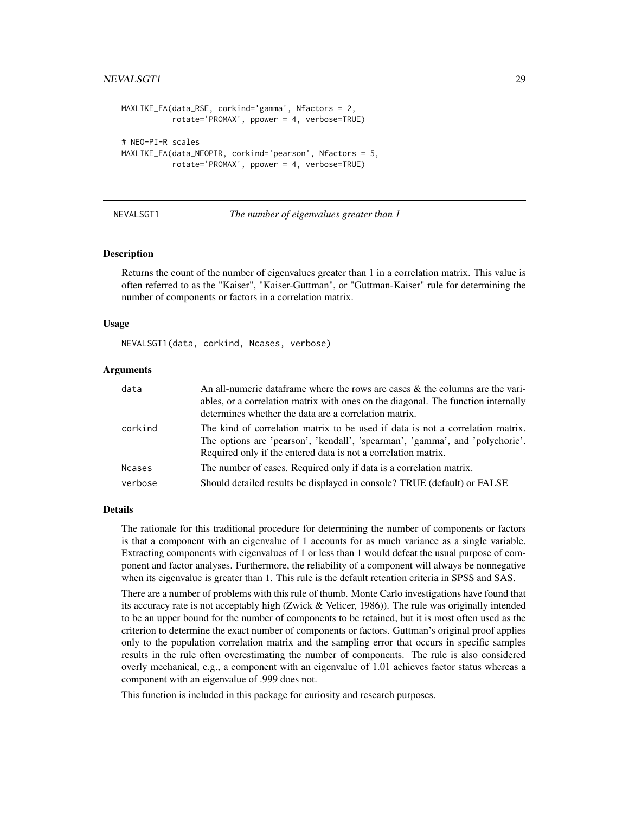## <span id="page-28-0"></span>NEVALSGT1 29

```
MAXLIKE_FA(data_RSE, corkind='gamma', Nfactors = 2,
           rotate='PROMAX', ppower = 4, verbose=TRUE)
# NEO-PI-R scales
MAXLIKE_FA(data_NEOPIR, corkind='pearson', Nfactors = 5,
           rotate='PROMAX', ppower = 4, verbose=TRUE)
```
NEVALSGT1 *The number of eigenvalues greater than 1*

#### Description

Returns the count of the number of eigenvalues greater than 1 in a correlation matrix. This value is often referred to as the "Kaiser", "Kaiser-Guttman", or "Guttman-Kaiser" rule for determining the number of components or factors in a correlation matrix.

#### Usage

NEVALSGT1(data, corkind, Ncases, verbose)

#### Arguments

| data          | An all-numeric data frame where the rows are cases $\&$ the columns are the vari-<br>ables, or a correlation matrix with ones on the diagonal. The function internally                                                           |
|---------------|----------------------------------------------------------------------------------------------------------------------------------------------------------------------------------------------------------------------------------|
|               | determines whether the data are a correlation matrix.                                                                                                                                                                            |
| corkind       | The kind of correlation matrix to be used if data is not a correlation matrix.<br>The options are 'pearson', 'kendall', 'spearman', 'gamma', and 'polychoric'.<br>Required only if the entered data is not a correlation matrix. |
| <b>Ncases</b> | The number of cases. Required only if data is a correlation matrix.                                                                                                                                                              |
| verbose       | Should detailed results be displayed in console? TRUE (default) or FALSE                                                                                                                                                         |

#### Details

The rationale for this traditional procedure for determining the number of components or factors is that a component with an eigenvalue of 1 accounts for as much variance as a single variable. Extracting components with eigenvalues of 1 or less than 1 would defeat the usual purpose of component and factor analyses. Furthermore, the reliability of a component will always be nonnegative when its eigenvalue is greater than 1. This rule is the default retention criteria in SPSS and SAS.

There are a number of problems with this rule of thumb. Monte Carlo investigations have found that its accuracy rate is not acceptably high (Zwick & Velicer, 1986)). The rule was originally intended to be an upper bound for the number of components to be retained, but it is most often used as the criterion to determine the exact number of components or factors. Guttman's original proof applies only to the population correlation matrix and the sampling error that occurs in specific samples results in the rule often overestimating the number of components. The rule is also considered overly mechanical, e.g., a component with an eigenvalue of 1.01 achieves factor status whereas a component with an eigenvalue of .999 does not.

This function is included in this package for curiosity and research purposes.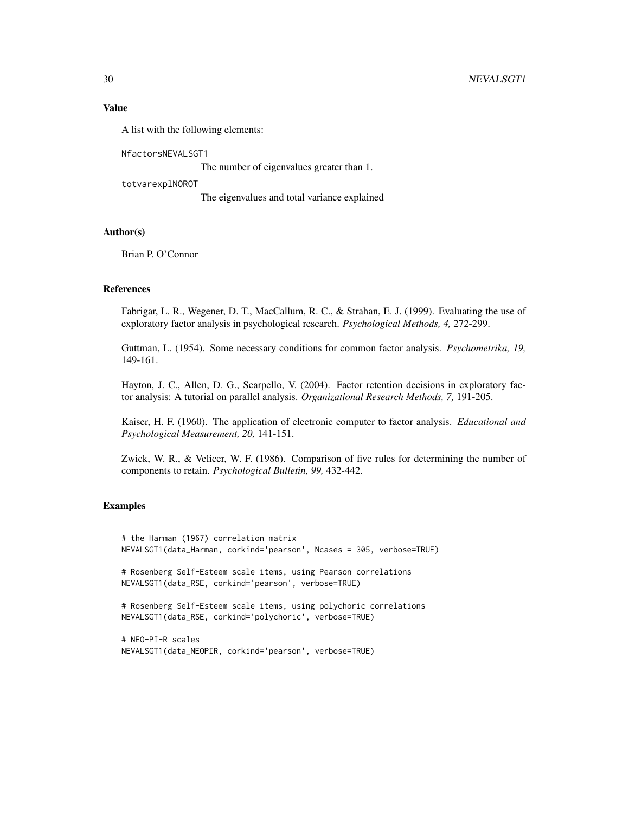#### Value

A list with the following elements:

NfactorsNEVALSGT1

The number of eigenvalues greater than 1.

totvarexplNOROT

The eigenvalues and total variance explained

## Author(s)

Brian P. O'Connor

### References

Fabrigar, L. R., Wegener, D. T., MacCallum, R. C., & Strahan, E. J. (1999). Evaluating the use of exploratory factor analysis in psychological research. *Psychological Methods, 4,* 272-299.

Guttman, L. (1954). Some necessary conditions for common factor analysis. *Psychometrika, 19,* 149-161.

Hayton, J. C., Allen, D. G., Scarpello, V. (2004). Factor retention decisions in exploratory factor analysis: A tutorial on parallel analysis. *Organizational Research Methods, 7,* 191-205.

Kaiser, H. F. (1960). The application of electronic computer to factor analysis. *Educational and Psychological Measurement, 20,* 141-151.

Zwick, W. R., & Velicer, W. F. (1986). Comparison of five rules for determining the number of components to retain. *Psychological Bulletin, 99,* 432-442.

## Examples

# the Harman (1967) correlation matrix NEVALSGT1(data\_Harman, corkind='pearson', Ncases = 305, verbose=TRUE)

# Rosenberg Self-Esteem scale items, using Pearson correlations NEVALSGT1(data\_RSE, corkind='pearson', verbose=TRUE)

# Rosenberg Self-Esteem scale items, using polychoric correlations NEVALSGT1(data\_RSE, corkind='polychoric', verbose=TRUE)

# NEO-PI-R scales NEVALSGT1(data\_NEOPIR, corkind='pearson', verbose=TRUE)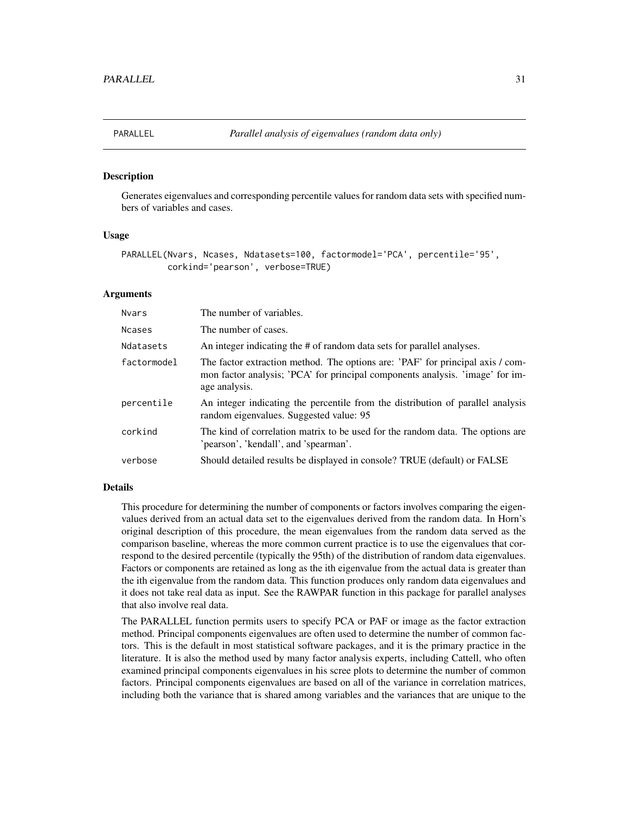<span id="page-30-0"></span>

#### Description

Generates eigenvalues and corresponding percentile values for random data sets with specified numbers of variables and cases.

#### Usage

```
PARALLEL(Nvars, Ncases, Ndatasets=100, factormodel='PCA', percentile='95',
         corkind='pearson', verbose=TRUE)
```
## Arguments

| <b>Nvars</b>  | The number of variables.                                                                                                                                                         |
|---------------|----------------------------------------------------------------------------------------------------------------------------------------------------------------------------------|
| <b>Ncases</b> | The number of cases.                                                                                                                                                             |
| Ndatasets     | An integer indicating the # of random data sets for parallel analyses.                                                                                                           |
| factormodel   | The factor extraction method. The options are: 'PAF' for principal axis / com-<br>mon factor analysis; 'PCA' for principal components analysis. 'image' for im-<br>age analysis. |
| percentile    | An integer indicating the percentile from the distribution of parallel analysis<br>random eigenvalues. Suggested value: 95                                                       |
| corkind       | The kind of correlation matrix to be used for the random data. The options are<br>'pearson', 'kendall', and 'spearman'.                                                          |
| verbose       | Should detailed results be displayed in console? TRUE (default) or FALSE                                                                                                         |
|               |                                                                                                                                                                                  |

#### Details

This procedure for determining the number of components or factors involves comparing the eigenvalues derived from an actual data set to the eigenvalues derived from the random data. In Horn's original description of this procedure, the mean eigenvalues from the random data served as the comparison baseline, whereas the more common current practice is to use the eigenvalues that correspond to the desired percentile (typically the 95th) of the distribution of random data eigenvalues. Factors or components are retained as long as the ith eigenvalue from the actual data is greater than the ith eigenvalue from the random data. This function produces only random data eigenvalues and it does not take real data as input. See the RAWPAR function in this package for parallel analyses that also involve real data.

The PARALLEL function permits users to specify PCA or PAF or image as the factor extraction method. Principal components eigenvalues are often used to determine the number of common factors. This is the default in most statistical software packages, and it is the primary practice in the literature. It is also the method used by many factor analysis experts, including Cattell, who often examined principal components eigenvalues in his scree plots to determine the number of common factors. Principal components eigenvalues are based on all of the variance in correlation matrices, including both the variance that is shared among variables and the variances that are unique to the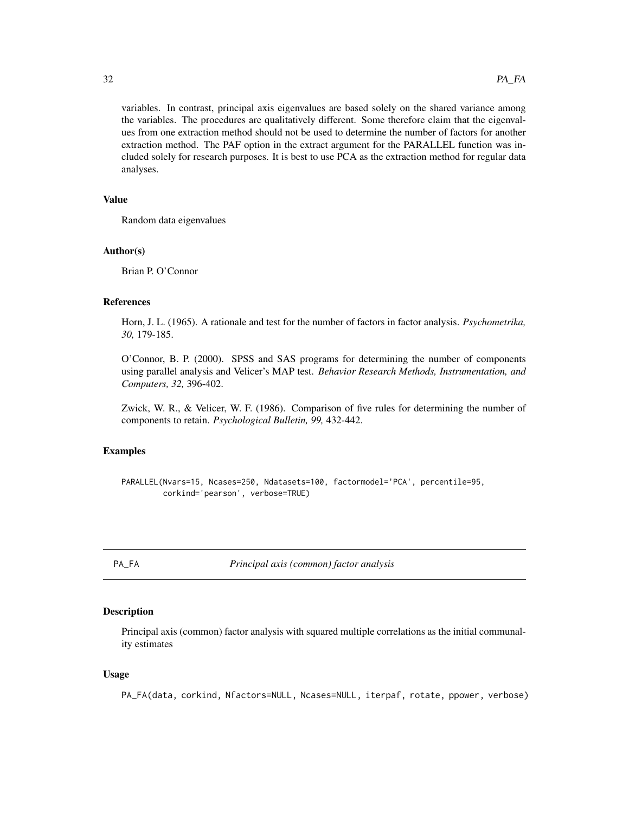variables. In contrast, principal axis eigenvalues are based solely on the shared variance among the variables. The procedures are qualitatively different. Some therefore claim that the eigenvalues from one extraction method should not be used to determine the number of factors for another extraction method. The PAF option in the extract argument for the PARALLEL function was included solely for research purposes. It is best to use PCA as the extraction method for regular data analyses.

#### Value

Random data eigenvalues

#### Author(s)

Brian P. O'Connor

#### References

Horn, J. L. (1965). A rationale and test for the number of factors in factor analysis. *Psychometrika, 30,* 179-185.

O'Connor, B. P. (2000). SPSS and SAS programs for determining the number of components using parallel analysis and Velicer's MAP test. *Behavior Research Methods, Instrumentation, and Computers, 32,* 396-402.

Zwick, W. R., & Velicer, W. F. (1986). Comparison of five rules for determining the number of components to retain. *Psychological Bulletin, 99,* 432-442.

## Examples

```
PARALLEL(Nvars=15, Ncases=250, Ndatasets=100, factormodel='PCA', percentile=95,
         corkind='pearson', verbose=TRUE)
```
PA\_FA *Principal axis (common) factor analysis*

## Description

Principal axis (common) factor analysis with squared multiple correlations as the initial communality estimates

#### Usage

PA\_FA(data, corkind, Nfactors=NULL, Ncases=NULL, iterpaf, rotate, ppower, verbose)

<span id="page-31-0"></span>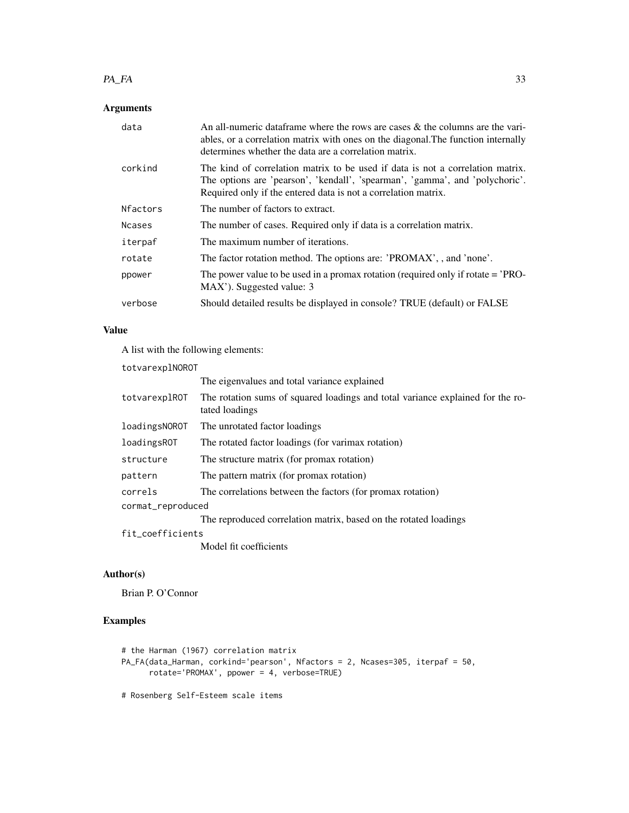#### $PA\_FA$  33

## Arguments

| data            | An all-numeric dataframe where the rows are cases $\&$ the columns are the vari-<br>ables, or a correlation matrix with ones on the diagonal. The function internally<br>determines whether the data are a correlation matrix.   |
|-----------------|----------------------------------------------------------------------------------------------------------------------------------------------------------------------------------------------------------------------------------|
| corkind         | The kind of correlation matrix to be used if data is not a correlation matrix.<br>The options are 'pearson', 'kendall', 'spearman', 'gamma', and 'polychoric'.<br>Required only if the entered data is not a correlation matrix. |
| <b>Nfactors</b> | The number of factors to extract.                                                                                                                                                                                                |
| <b>Ncases</b>   | The number of cases. Required only if data is a correlation matrix.                                                                                                                                                              |
| iterpaf         | The maximum number of iterations.                                                                                                                                                                                                |
| rotate          | The factor rotation method. The options are: 'PROMAX', , and 'none'.                                                                                                                                                             |
| ppower          | The power value to be used in a promax rotation (required only if rotate $=$ 'PRO-<br>MAX'). Suggested value: 3                                                                                                                  |
| verbose         | Should detailed results be displayed in console? TRUE (default) or FALSE                                                                                                                                                         |

## Value

A list with the following elements:

| totvarexplNOROT   |                                                                                                  |  |
|-------------------|--------------------------------------------------------------------------------------------------|--|
|                   | The eigenvalues and total variance explained                                                     |  |
| totvarexplROT     | The rotation sums of squared loadings and total variance explained for the ro-<br>tated loadings |  |
| loadingsNOROT     | The unrotated factor loadings                                                                    |  |
| loadingsROT       | The rotated factor loadings (for varimax rotation)                                               |  |
| structure         | The structure matrix (for promax rotation)                                                       |  |
| pattern           | The pattern matrix (for promax rotation)                                                         |  |
| correls           | The correlations between the factors (for promax rotation)                                       |  |
| cormat_reproduced |                                                                                                  |  |
|                   | The reproduced correlation matrix, based on the rotated loadings                                 |  |
| fit_coefficients  |                                                                                                  |  |
|                   |                                                                                                  |  |

Model fit coefficients

## Author(s)

Brian P. O'Connor

## Examples

```
# the Harman (1967) correlation matrix
PA_FA(data_Harman, corkind='pearson', Nfactors = 2, Ncases=305, iterpaf = 50,
      rotate='PROMAX', ppower = 4, verbose=TRUE)
```
# Rosenberg Self-Esteem scale items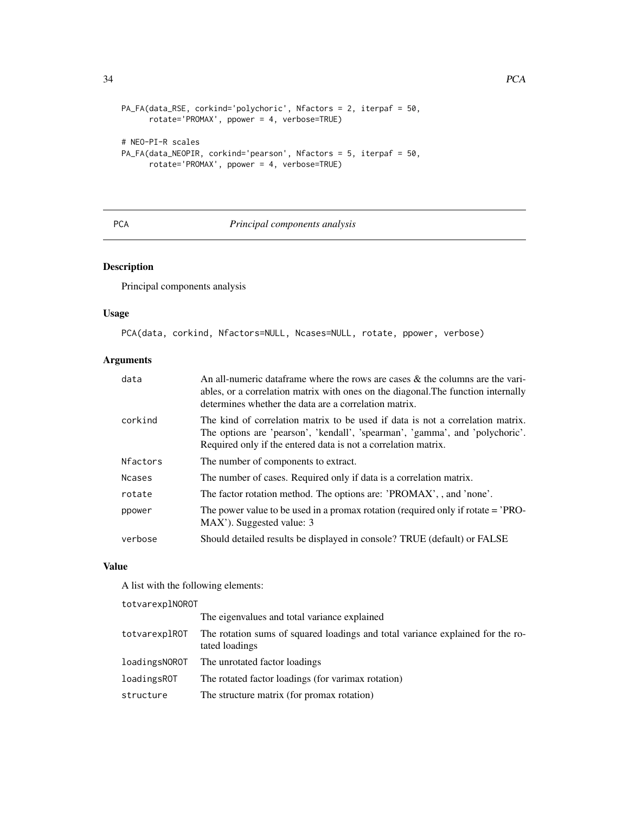```
PA_FA(data_RSE, corkind='polychoric', Nfactors = 2, iterpaf = 50,
      rotate='PROMAX', ppower = 4, verbose=TRUE)
# NEO-PI-R scales
PA_FA(data_NEOPIR, corkind='pearson', Nfactors = 5, iterpaf = 50,
      rotate='PROMAX', ppower = 4, verbose=TRUE)
```
## PCA *Principal components analysis*

## Description

Principal components analysis

## Usage

PCA(data, corkind, Nfactors=NULL, Ncases=NULL, rotate, ppower, verbose)

## Arguments

| data          | An all-numeric data frame where the rows are cases $\&$ the columns are the vari-<br>ables, or a correlation matrix with ones on the diagonal. The function internally<br>determines whether the data are a correlation matrix.  |
|---------------|----------------------------------------------------------------------------------------------------------------------------------------------------------------------------------------------------------------------------------|
| corkind       | The kind of correlation matrix to be used if data is not a correlation matrix.<br>The options are 'pearson', 'kendall', 'spearman', 'gamma', and 'polychoric'.<br>Required only if the entered data is not a correlation matrix. |
| Nfactors      | The number of components to extract.                                                                                                                                                                                             |
| <b>Ncases</b> | The number of cases. Required only if data is a correlation matrix.                                                                                                                                                              |
| rotate        | The factor rotation method. The options are: 'PROMAX', , and 'none'.                                                                                                                                                             |
| ppower        | The power value to be used in a promax rotation (required only if rotate $=$ 'PRO-<br>MAX'). Suggested value: 3                                                                                                                  |
| verbose       | Should detailed results be displayed in console? TRUE (default) or FALSE                                                                                                                                                         |

#### Value

A list with the following elements:

totvarexplNOROT

|               | The eigenvalues and total variance explained                                                     |
|---------------|--------------------------------------------------------------------------------------------------|
| totvarexplROT | The rotation sums of squared loadings and total variance explained for the ro-<br>tated loadings |
|               | loadingsNOROT The unrotated factor loadings                                                      |
| loadingsROT   | The rotated factor loadings (for varimax rotation)                                               |
| structure     | The structure matrix (for promax rotation)                                                       |

<span id="page-33-0"></span>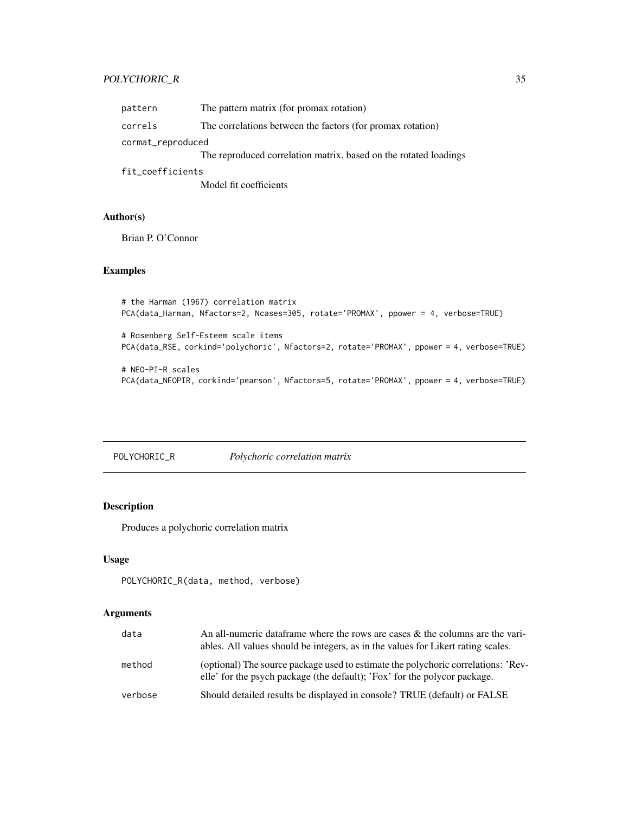## <span id="page-34-0"></span>POLYCHORIC\_R 35

| pattern           | The pattern matrix (for promax rotation)                         |  |
|-------------------|------------------------------------------------------------------|--|
| correls           | The correlations between the factors (for promax rotation)       |  |
| cormat_reproduced |                                                                  |  |
|                   | The reproduced correlation matrix, based on the rotated loadings |  |
| fit_coefficients  |                                                                  |  |

Model fit coefficients

## Author(s)

Brian P. O'Connor

## Examples

```
# the Harman (1967) correlation matrix
PCA(data_Harman, Nfactors=2, Ncases=305, rotate='PROMAX', ppower = 4, verbose=TRUE)
```
# Rosenberg Self-Esteem scale items PCA(data\_RSE, corkind='polychoric', Nfactors=2, rotate='PROMAX', ppower = 4, verbose=TRUE)

```
# NEO-PI-R scales
PCA(data_NEOPIR, corkind='pearson', Nfactors=5, rotate='PROMAX', ppower = 4, verbose=TRUE)
```

```
POLYCHORIC_R Polychoric correlation matrix
```
## Description

Produces a polychoric correlation matrix

## Usage

```
POLYCHORIC_R(data, method, verbose)
```
## Arguments

| data    | An all-numeric data frame where the rows are cases $\&$ the columns are the vari-<br>ables. All values should be integers, as in the values for Likert rating scales. |
|---------|-----------------------------------------------------------------------------------------------------------------------------------------------------------------------|
| method  | (optional) The source package used to estimate the polychoric correlations: 'Rev-<br>elle' for the psych package (the default); 'Fox' for the polycor package.        |
| verbose | Should detailed results be displayed in console? TRUE (default) or FALSE                                                                                              |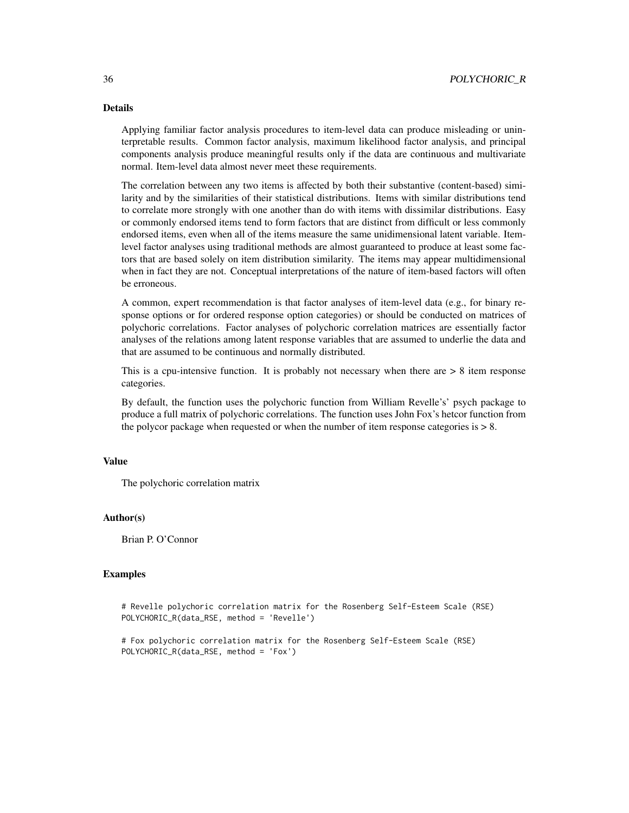## Details

Applying familiar factor analysis procedures to item-level data can produce misleading or uninterpretable results. Common factor analysis, maximum likelihood factor analysis, and principal components analysis produce meaningful results only if the data are continuous and multivariate normal. Item-level data almost never meet these requirements.

The correlation between any two items is affected by both their substantive (content-based) similarity and by the similarities of their statistical distributions. Items with similar distributions tend to correlate more strongly with one another than do with items with dissimilar distributions. Easy or commonly endorsed items tend to form factors that are distinct from difficult or less commonly endorsed items, even when all of the items measure the same unidimensional latent variable. Itemlevel factor analyses using traditional methods are almost guaranteed to produce at least some factors that are based solely on item distribution similarity. The items may appear multidimensional when in fact they are not. Conceptual interpretations of the nature of item-based factors will often be erroneous.

A common, expert recommendation is that factor analyses of item-level data (e.g., for binary response options or for ordered response option categories) or should be conducted on matrices of polychoric correlations. Factor analyses of polychoric correlation matrices are essentially factor analyses of the relations among latent response variables that are assumed to underlie the data and that are assumed to be continuous and normally distributed.

This is a cpu-intensive function. It is probably not necessary when there are  $> 8$  item response categories.

By default, the function uses the polychoric function from William Revelle's' psych package to produce a full matrix of polychoric correlations. The function uses John Fox's hetcor function from the polycor package when requested or when the number of item response categories is  $> 8$ .

#### Value

The polychoric correlation matrix

#### Author(s)

Brian P. O'Connor

#### Examples

# Revelle polychoric correlation matrix for the Rosenberg Self-Esteem Scale (RSE) POLYCHORIC\_R(data\_RSE, method = 'Revelle')

# Fox polychoric correlation matrix for the Rosenberg Self-Esteem Scale (RSE) POLYCHORIC\_R(data\_RSE, method = 'Fox')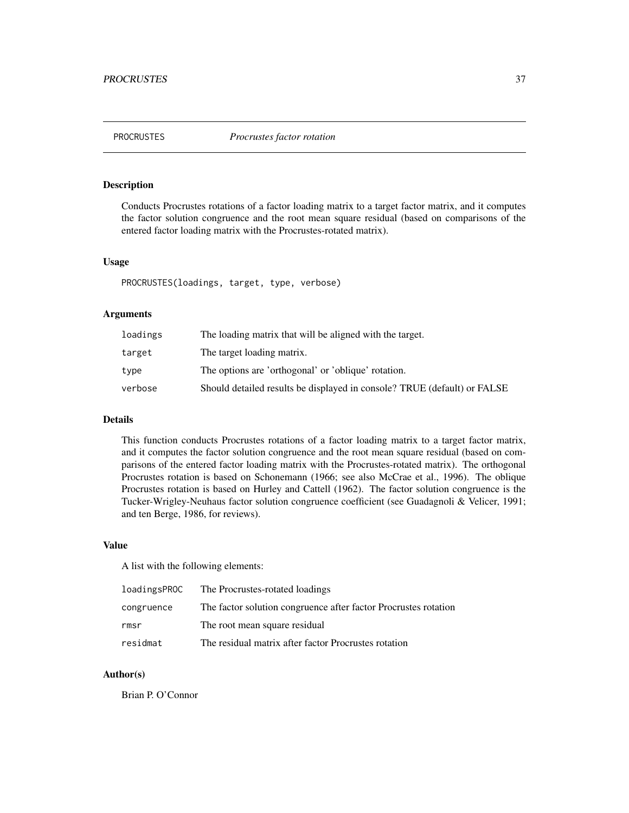<span id="page-36-0"></span>

## Description

Conducts Procrustes rotations of a factor loading matrix to a target factor matrix, and it computes the factor solution congruence and the root mean square residual (based on comparisons of the entered factor loading matrix with the Procrustes-rotated matrix).

#### Usage

PROCRUSTES(loadings, target, type, verbose)

## Arguments

| loadings | The loading matrix that will be aligned with the target.                 |
|----------|--------------------------------------------------------------------------|
| target   | The target loading matrix.                                               |
| type     | The options are 'orthogonal' or 'oblique' rotation.                      |
| verbose  | Should detailed results be displayed in console? TRUE (default) or FALSE |

## Details

This function conducts Procrustes rotations of a factor loading matrix to a target factor matrix, and it computes the factor solution congruence and the root mean square residual (based on comparisons of the entered factor loading matrix with the Procrustes-rotated matrix). The orthogonal Procrustes rotation is based on Schonemann (1966; see also McCrae et al., 1996). The oblique Procrustes rotation is based on Hurley and Cattell (1962). The factor solution congruence is the Tucker-Wrigley-Neuhaus factor solution congruence coefficient (see Guadagnoli & Velicer, 1991; and ten Berge, 1986, for reviews).

## Value

A list with the following elements:

| loadingsPROC | The Procrustes-rotated loadings                                 |
|--------------|-----------------------------------------------------------------|
| congruence   | The factor solution congruence after factor Procrustes rotation |
| rmsr         | The root mean square residual                                   |
| residmat     | The residual matrix after factor Procrustes rotation            |

#### Author(s)

Brian P. O'Connor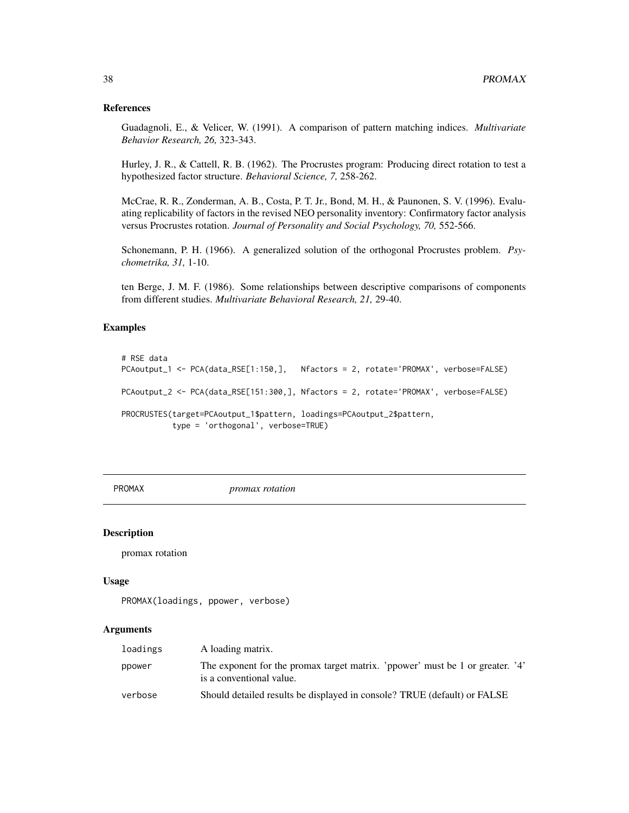#### <span id="page-37-0"></span>References

Guadagnoli, E., & Velicer, W. (1991). A comparison of pattern matching indices. *Multivariate Behavior Research, 26,* 323-343.

Hurley, J. R., & Cattell, R. B. (1962). The Procrustes program: Producing direct rotation to test a hypothesized factor structure. *Behavioral Science, 7,* 258-262.

McCrae, R. R., Zonderman, A. B., Costa, P. T. Jr., Bond, M. H., & Paunonen, S. V. (1996). Evaluating replicability of factors in the revised NEO personality inventory: Confirmatory factor analysis versus Procrustes rotation. *Journal of Personality and Social Psychology, 70,* 552-566.

Schonemann, P. H. (1966). A generalized solution of the orthogonal Procrustes problem. *Psychometrika, 31,* 1-10.

ten Berge, J. M. F. (1986). Some relationships between descriptive comparisons of components from different studies. *Multivariate Behavioral Research, 21,* 29-40.

## Examples

```
# RSE data
PCAoutput_1 <- PCA(data_RSE[1:150,], Nfactors = 2, rotate='PROMAX', verbose=FALSE)
PCAoutput_2 <- PCA(data_RSE[151:300,], Nfactors = 2, rotate='PROMAX', verbose=FALSE)
PROCRUSTES(target=PCAoutput_1$pattern, loadings=PCAoutput_2$pattern,
           type = 'orthogonal', verbose=TRUE)
```
PROMAX *promax rotation*

#### **Description**

promax rotation

#### Usage

```
PROMAX(loadings, ppower, verbose)
```
#### Arguments

| loadings | A loading matrix.                                                                                         |
|----------|-----------------------------------------------------------------------------------------------------------|
| ppower   | The exponent for the promax target matrix. 'ppower' must be 1 or greater. '4'<br>is a conventional value. |
| verbose  | Should detailed results be displayed in console? TRUE (default) or FALSE                                  |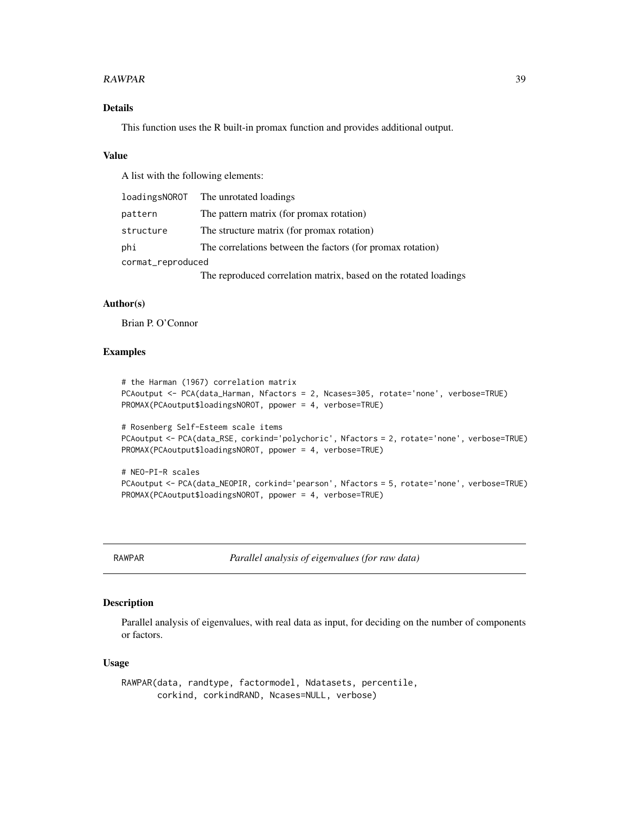#### <span id="page-38-0"></span>RAWPAR 39

## Details

This function uses the R built-in promax function and provides additional output.

#### Value

A list with the following elements:

|                   | loadingsNOROT The unrotated loadings                             |
|-------------------|------------------------------------------------------------------|
| pattern           | The pattern matrix (for promax rotation)                         |
| structure         | The structure matrix (for promax rotation)                       |
| phi               | The correlations between the factors (for promax rotation)       |
| cormat_reproduced |                                                                  |
|                   | The reproduced correlation matrix, based on the rotated loadings |

## Author(s)

Brian P. O'Connor

#### Examples

```
# the Harman (1967) correlation matrix
PCAoutput <- PCA(data_Harman, Nfactors = 2, Ncases=305, rotate='none', verbose=TRUE)
PROMAX(PCAoutput$loadingsNOROT, ppower = 4, verbose=TRUE)
# Rosenberg Self-Esteem scale items
PCAoutput <- PCA(data_RSE, corkind='polychoric', Nfactors = 2, rotate='none', verbose=TRUE)
PROMAX(PCAoutput$loadingsNOROT, ppower = 4, verbose=TRUE)
```

```
# NEO-PI-R scales
PCAoutput <- PCA(data_NEOPIR, corkind='pearson', Nfactors = 5, rotate='none', verbose=TRUE)
PROMAX(PCAoutput$loadingsNOROT, ppower = 4, verbose=TRUE)
```
RAWPAR *Parallel analysis of eigenvalues (for raw data)*

#### Description

Parallel analysis of eigenvalues, with real data as input, for deciding on the number of components or factors.

#### Usage

RAWPAR(data, randtype, factormodel, Ndatasets, percentile, corkind, corkindRAND, Ncases=NULL, verbose)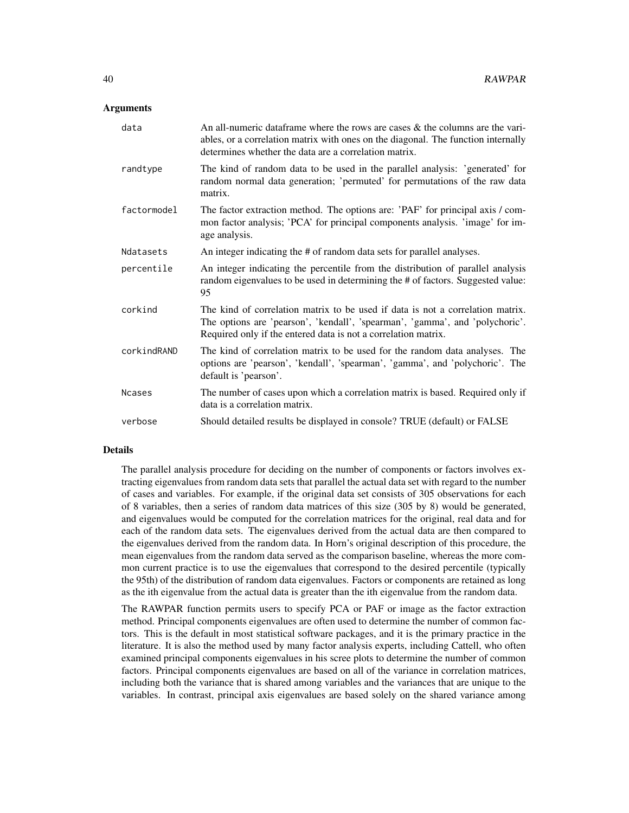#### Arguments

| data          | An all-numeric data frame where the rows are cases $\&$ the columns are the vari-<br>ables, or a correlation matrix with ones on the diagonal. The function internally<br>determines whether the data are a correlation matrix.  |
|---------------|----------------------------------------------------------------------------------------------------------------------------------------------------------------------------------------------------------------------------------|
| randtype      | The kind of random data to be used in the parallel analysis: 'generated' for<br>random normal data generation; 'permuted' for permutations of the raw data<br>matrix.                                                            |
| factormodel   | The factor extraction method. The options are: 'PAF' for principal axis / com-<br>mon factor analysis; 'PCA' for principal components analysis. 'image' for im-<br>age analysis.                                                 |
| Ndatasets     | An integer indicating the # of random data sets for parallel analyses.                                                                                                                                                           |
| percentile    | An integer indicating the percentile from the distribution of parallel analysis<br>random eigenvalues to be used in determining the # of factors. Suggested value:<br>95                                                         |
| corkind       | The kind of correlation matrix to be used if data is not a correlation matrix.<br>The options are 'pearson', 'kendall', 'spearman', 'gamma', and 'polychoric'.<br>Required only if the entered data is not a correlation matrix. |
| corkindRAND   | The kind of correlation matrix to be used for the random data analyses. The<br>options are 'pearson', 'kendall', 'spearman', 'gamma', and 'polychoric'. The<br>default is 'pearson'.                                             |
| <b>Ncases</b> | The number of cases upon which a correlation matrix is based. Required only if<br>data is a correlation matrix.                                                                                                                  |
| verbose       | Should detailed results be displayed in console? TRUE (default) or FALSE                                                                                                                                                         |

#### Details

The parallel analysis procedure for deciding on the number of components or factors involves extracting eigenvalues from random data sets that parallel the actual data set with regard to the number of cases and variables. For example, if the original data set consists of 305 observations for each of 8 variables, then a series of random data matrices of this size (305 by 8) would be generated, and eigenvalues would be computed for the correlation matrices for the original, real data and for each of the random data sets. The eigenvalues derived from the actual data are then compared to the eigenvalues derived from the random data. In Horn's original description of this procedure, the mean eigenvalues from the random data served as the comparison baseline, whereas the more common current practice is to use the eigenvalues that correspond to the desired percentile (typically the 95th) of the distribution of random data eigenvalues. Factors or components are retained as long as the ith eigenvalue from the actual data is greater than the ith eigenvalue from the random data.

The RAWPAR function permits users to specify PCA or PAF or image as the factor extraction method. Principal components eigenvalues are often used to determine the number of common factors. This is the default in most statistical software packages, and it is the primary practice in the literature. It is also the method used by many factor analysis experts, including Cattell, who often examined principal components eigenvalues in his scree plots to determine the number of common factors. Principal components eigenvalues are based on all of the variance in correlation matrices, including both the variance that is shared among variables and the variances that are unique to the variables. In contrast, principal axis eigenvalues are based solely on the shared variance among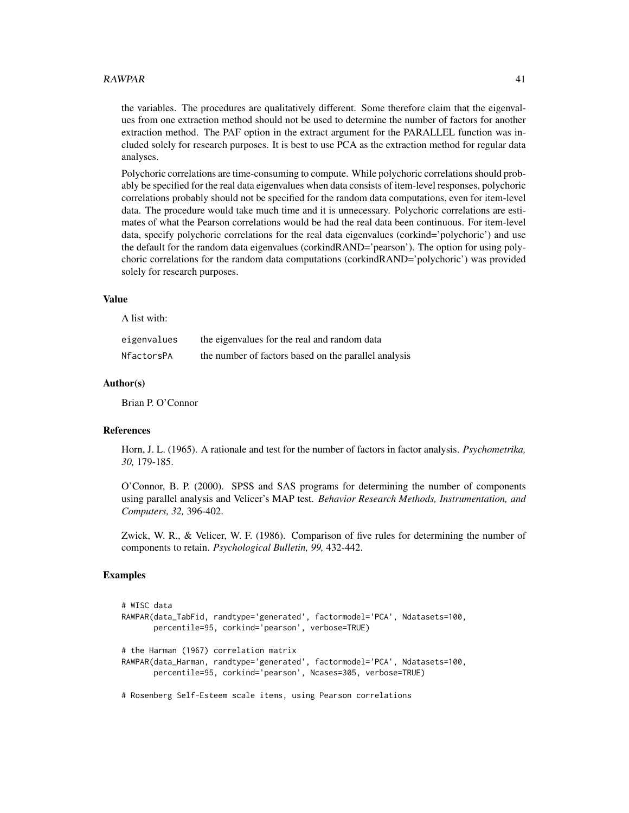#### $\alpha$ RAWPAR 41

the variables. The procedures are qualitatively different. Some therefore claim that the eigenvalues from one extraction method should not be used to determine the number of factors for another extraction method. The PAF option in the extract argument for the PARALLEL function was included solely for research purposes. It is best to use PCA as the extraction method for regular data analyses.

Polychoric correlations are time-consuming to compute. While polychoric correlations should probably be specified for the real data eigenvalues when data consists of item-level responses, polychoric correlations probably should not be specified for the random data computations, even for item-level data. The procedure would take much time and it is unnecessary. Polychoric correlations are estimates of what the Pearson correlations would be had the real data been continuous. For item-level data, specify polychoric correlations for the real data eigenvalues (corkind='polychoric') and use the default for the random data eigenvalues (corkindRAND='pearson'). The option for using polychoric correlations for the random data computations (corkindRAND='polychoric') was provided solely for research purposes.

## Value

A list with:

| eigenvalues | the eigenvalues for the real and random data         |
|-------------|------------------------------------------------------|
| NfactorsPA  | the number of factors based on the parallel analysis |

#### Author(s)

Brian P. O'Connor

## References

Horn, J. L. (1965). A rationale and test for the number of factors in factor analysis. *Psychometrika, 30,* 179-185.

O'Connor, B. P. (2000). SPSS and SAS programs for determining the number of components using parallel analysis and Velicer's MAP test. *Behavior Research Methods, Instrumentation, and Computers, 32,* 396-402.

Zwick, W. R., & Velicer, W. F. (1986). Comparison of five rules for determining the number of components to retain. *Psychological Bulletin, 99,* 432-442.

#### Examples

```
# WISC data
RAWPAR(data_TabFid, randtype='generated', factormodel='PCA', Ndatasets=100,
      percentile=95, corkind='pearson', verbose=TRUE)
# the Harman (1967) correlation matrix
RAWPAR(data_Harman, randtype='generated', factormodel='PCA', Ndatasets=100,
      percentile=95, corkind='pearson', Ncases=305, verbose=TRUE)
# Rosenberg Self-Esteem scale items, using Pearson correlations
```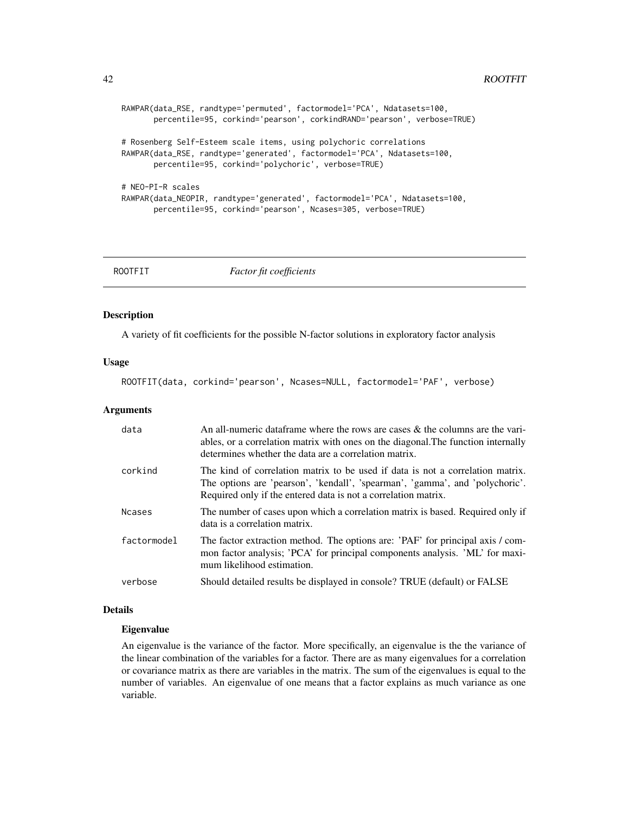```
RAWPAR(data_RSE, randtype='permuted', factormodel='PCA', Ndatasets=100,
      percentile=95, corkind='pearson', corkindRAND='pearson', verbose=TRUE)
# Rosenberg Self-Esteem scale items, using polychoric correlations
RAWPAR(data_RSE, randtype='generated', factormodel='PCA', Ndatasets=100,
      percentile=95, corkind='polychoric', verbose=TRUE)
# NEO-PI-R scales
RAWPAR(data_NEOPIR, randtype='generated', factormodel='PCA', Ndatasets=100,
      percentile=95, corkind='pearson', Ncases=305, verbose=TRUE)
```
ROOTFIT *Factor fit coefficients*

## Description

A variety of fit coefficients for the possible N-factor solutions in exploratory factor analysis

#### Usage

ROOTFIT(data, corkind='pearson', Ncases=NULL, factormodel='PAF', verbose)

#### Arguments

| data          | An all-numeric data frame where the rows are cases $\&$ the columns are the vari-<br>ables, or a correlation matrix with ones on the diagonal. The function internally<br>determines whether the data are a correlation matrix.  |
|---------------|----------------------------------------------------------------------------------------------------------------------------------------------------------------------------------------------------------------------------------|
| corkind       | The kind of correlation matrix to be used if data is not a correlation matrix.<br>The options are 'pearson', 'kendall', 'spearman', 'gamma', and 'polychoric'.<br>Required only if the entered data is not a correlation matrix. |
| <b>Ncases</b> | The number of cases upon which a correlation matrix is based. Required only if<br>data is a correlation matrix.                                                                                                                  |
| factormodel   | The factor extraction method. The options are: 'PAF' for principal axis / com-<br>mon factor analysis; 'PCA' for principal components analysis. 'ML' for maxi-<br>mum likelihood estimation.                                     |
| verbose       | Should detailed results be displayed in console? TRUE (default) or FALSE                                                                                                                                                         |

## Details

#### Eigenvalue

An eigenvalue is the variance of the factor. More specifically, an eigenvalue is the the variance of the linear combination of the variables for a factor. There are as many eigenvalues for a correlation or covariance matrix as there are variables in the matrix. The sum of the eigenvalues is equal to the number of variables. An eigenvalue of one means that a factor explains as much variance as one variable.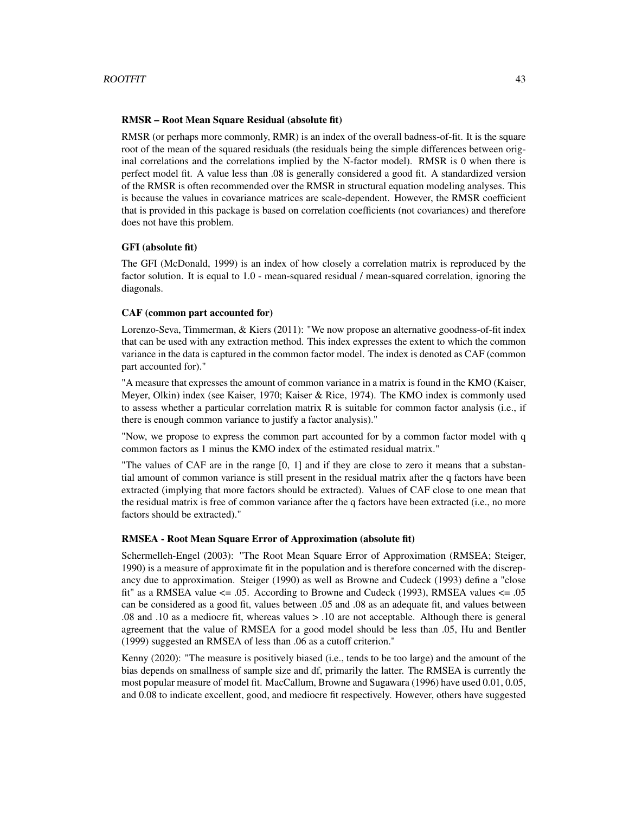#### RMSR – Root Mean Square Residual (absolute fit)

RMSR (or perhaps more commonly, RMR) is an index of the overall badness-of-fit. It is the square root of the mean of the squared residuals (the residuals being the simple differences between original correlations and the correlations implied by the N-factor model). RMSR is 0 when there is perfect model fit. A value less than .08 is generally considered a good fit. A standardized version of the RMSR is often recommended over the RMSR in structural equation modeling analyses. This is because the values in covariance matrices are scale-dependent. However, the RMSR coefficient that is provided in this package is based on correlation coefficients (not covariances) and therefore does not have this problem.

#### GFI (absolute fit)

The GFI (McDonald, 1999) is an index of how closely a correlation matrix is reproduced by the factor solution. It is equal to 1.0 - mean-squared residual / mean-squared correlation, ignoring the diagonals.

#### CAF (common part accounted for)

Lorenzo-Seva, Timmerman, & Kiers (2011): "We now propose an alternative goodness-of-fit index that can be used with any extraction method. This index expresses the extent to which the common variance in the data is captured in the common factor model. The index is denoted as CAF (common part accounted for)."

"A measure that expresses the amount of common variance in a matrix is found in the KMO (Kaiser, Meyer, Olkin) index (see Kaiser, 1970; Kaiser & Rice, 1974). The KMO index is commonly used to assess whether a particular correlation matrix  $R$  is suitable for common factor analysis (i.e., if there is enough common variance to justify a factor analysis)."

"Now, we propose to express the common part accounted for by a common factor model with q common factors as 1 minus the KMO index of the estimated residual matrix."

"The values of CAF are in the range [0, 1] and if they are close to zero it means that a substantial amount of common variance is still present in the residual matrix after the q factors have been extracted (implying that more factors should be extracted). Values of CAF close to one mean that the residual matrix is free of common variance after the q factors have been extracted (i.e., no more factors should be extracted)."

#### RMSEA - Root Mean Square Error of Approximation (absolute fit)

Schermelleh-Engel (2003): "The Root Mean Square Error of Approximation (RMSEA; Steiger, 1990) is a measure of approximate fit in the population and is therefore concerned with the discrepancy due to approximation. Steiger (1990) as well as Browne and Cudeck (1993) define a "close fit" as a RMSEA value  $\leq$  .05. According to Browne and Cudeck (1993), RMSEA values  $\leq$  .05 can be considered as a good fit, values between .05 and .08 as an adequate fit, and values between .08 and .10 as a mediocre fit, whereas values > .10 are not acceptable. Although there is general agreement that the value of RMSEA for a good model should be less than .05, Hu and Bentler (1999) suggested an RMSEA of less than .06 as a cutoff criterion."

Kenny (2020): "The measure is positively biased (i.e., tends to be too large) and the amount of the bias depends on smallness of sample size and df, primarily the latter. The RMSEA is currently the most popular measure of model fit. MacCallum, Browne and Sugawara (1996) have used 0.01, 0.05, and 0.08 to indicate excellent, good, and mediocre fit respectively. However, others have suggested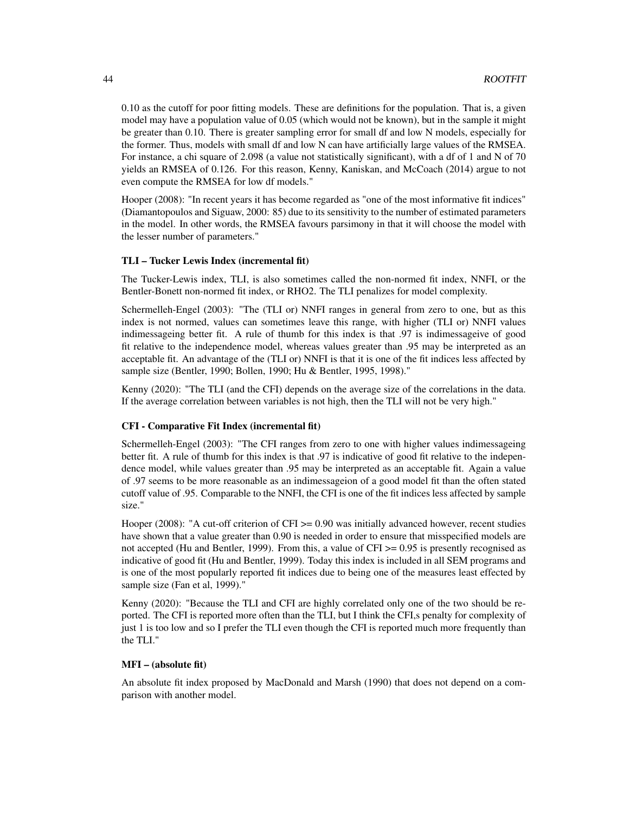0.10 as the cutoff for poor fitting models. These are definitions for the population. That is, a given model may have a population value of 0.05 (which would not be known), but in the sample it might be greater than 0.10. There is greater sampling error for small df and low N models, especially for the former. Thus, models with small df and low N can have artificially large values of the RMSEA. For instance, a chi square of 2.098 (a value not statistically significant), with a df of 1 and N of 70 yields an RMSEA of 0.126. For this reason, Kenny, Kaniskan, and McCoach (2014) argue to not even compute the RMSEA for low df models."

Hooper (2008): "In recent years it has become regarded as "one of the most informative fit indices" (Diamantopoulos and Siguaw, 2000: 85) due to its sensitivity to the number of estimated parameters in the model. In other words, the RMSEA favours parsimony in that it will choose the model with the lesser number of parameters."

#### TLI – Tucker Lewis Index (incremental fit)

The Tucker-Lewis index, TLI, is also sometimes called the non-normed fit index, NNFI, or the Bentler-Bonett non-normed fit index, or RHO2. The TLI penalizes for model complexity.

Schermelleh-Engel (2003): "The (TLI or) NNFI ranges in general from zero to one, but as this index is not normed, values can sometimes leave this range, with higher (TLI or) NNFI values indimessageing better fit. A rule of thumb for this index is that .97 is indimessageive of good fit relative to the independence model, whereas values greater than .95 may be interpreted as an acceptable fit. An advantage of the (TLI or) NNFI is that it is one of the fit indices less affected by sample size (Bentler, 1990; Bollen, 1990; Hu & Bentler, 1995, 1998)."

Kenny (2020): "The TLI (and the CFI) depends on the average size of the correlations in the data. If the average correlation between variables is not high, then the TLI will not be very high."

#### CFI - Comparative Fit Index (incremental fit)

Schermelleh-Engel (2003): "The CFI ranges from zero to one with higher values indimessageing better fit. A rule of thumb for this index is that .97 is indicative of good fit relative to the independence model, while values greater than .95 may be interpreted as an acceptable fit. Again a value of .97 seems to be more reasonable as an indimessageion of a good model fit than the often stated cutoff value of .95. Comparable to the NNFI, the CFI is one of the fit indices less affected by sample size."

Hooper (2008): "A cut-off criterion of CFI >= 0.90 was initially advanced however, recent studies have shown that a value greater than 0.90 is needed in order to ensure that misspecified models are not accepted (Hu and Bentler, 1999). From this, a value of CFI >= 0.95 is presently recognised as indicative of good fit (Hu and Bentler, 1999). Today this index is included in all SEM programs and is one of the most popularly reported fit indices due to being one of the measures least effected by sample size (Fan et al, 1999)."

Kenny (2020): "Because the TLI and CFI are highly correlated only one of the two should be reported. The CFI is reported more often than the TLI, but I think the CFI,s penalty for complexity of just 1 is too low and so I prefer the TLI even though the CFI is reported much more frequently than the TLI."

#### MFI – (absolute fit)

An absolute fit index proposed by MacDonald and Marsh (1990) that does not depend on a comparison with another model.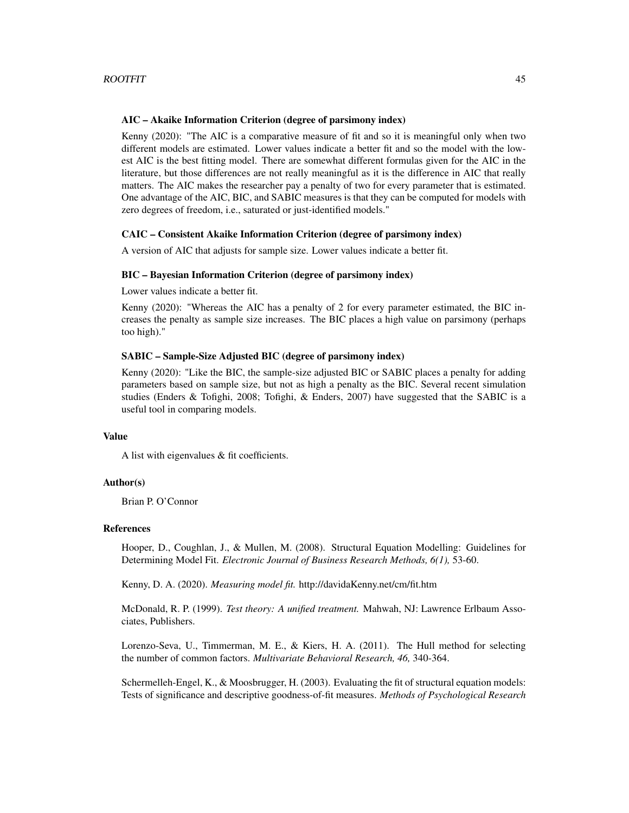#### AIC – Akaike Information Criterion (degree of parsimony index)

Kenny (2020): "The AIC is a comparative measure of fit and so it is meaningful only when two different models are estimated. Lower values indicate a better fit and so the model with the lowest AIC is the best fitting model. There are somewhat different formulas given for the AIC in the literature, but those differences are not really meaningful as it is the difference in AIC that really matters. The AIC makes the researcher pay a penalty of two for every parameter that is estimated. One advantage of the AIC, BIC, and SABIC measures is that they can be computed for models with zero degrees of freedom, i.e., saturated or just-identified models."

#### CAIC – Consistent Akaike Information Criterion (degree of parsimony index)

A version of AIC that adjusts for sample size. Lower values indicate a better fit.

#### BIC – Bayesian Information Criterion (degree of parsimony index)

Lower values indicate a better fit.

Kenny (2020): "Whereas the AIC has a penalty of 2 for every parameter estimated, the BIC increases the penalty as sample size increases. The BIC places a high value on parsimony (perhaps too high)."

## SABIC – Sample-Size Adjusted BIC (degree of parsimony index)

Kenny (2020): "Like the BIC, the sample-size adjusted BIC or SABIC places a penalty for adding parameters based on sample size, but not as high a penalty as the BIC. Several recent simulation studies (Enders & Tofighi, 2008; Tofighi, & Enders, 2007) have suggested that the SABIC is a useful tool in comparing models.

#### Value

A list with eigenvalues & fit coefficients.

#### Author(s)

Brian P. O'Connor

#### References

Hooper, D., Coughlan, J., & Mullen, M. (2008). Structural Equation Modelling: Guidelines for Determining Model Fit. *Electronic Journal of Business Research Methods, 6(1),* 53-60.

Kenny, D. A. (2020). *Measuring model fit.* http://davidaKenny.net/cm/fit.htm

McDonald, R. P. (1999). *Test theory: A unified treatment.* Mahwah, NJ: Lawrence Erlbaum Associates, Publishers.

Lorenzo-Seva, U., Timmerman, M. E., & Kiers, H. A. (2011). The Hull method for selecting the number of common factors. *Multivariate Behavioral Research, 46,* 340-364.

Schermelleh-Engel, K., & Moosbrugger, H. (2003). Evaluating the fit of structural equation models: Tests of significance and descriptive goodness-of-fit measures. *Methods of Psychological Research*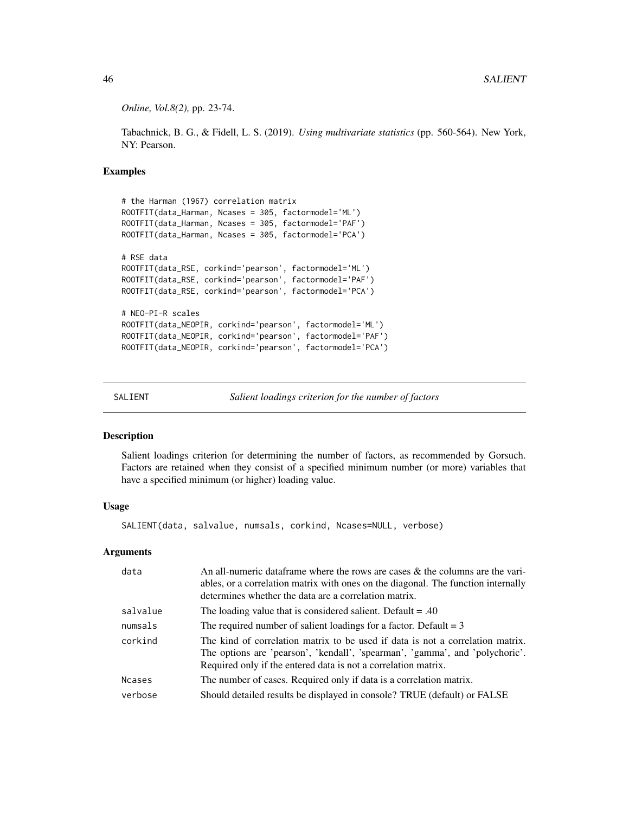*Online, Vol.8(2),* pp. 23-74.

Tabachnick, B. G., & Fidell, L. S. (2019). *Using multivariate statistics* (pp. 560-564). New York, NY: Pearson.

## Examples

```
# the Harman (1967) correlation matrix
ROOTFIT(data_Harman, Ncases = 305, factormodel='ML')
ROOTFIT(data_Harman, Ncases = 305, factormodel='PAF')
ROOTFIT(data_Harman, Ncases = 305, factormodel='PCA')
# RSE data
ROOTFIT(data_RSE, corkind='pearson', factormodel='ML')
ROOTFIT(data_RSE, corkind='pearson', factormodel='PAF')
ROOTFIT(data_RSE, corkind='pearson', factormodel='PCA')
# NEO-PI-R scales
ROOTFIT(data_NEOPIR, corkind='pearson', factormodel='ML')
ROOTFIT(data_NEOPIR, corkind='pearson', factormodel='PAF')
ROOTFIT(data_NEOPIR, corkind='pearson', factormodel='PCA')
```
SALIENT *Salient loadings criterion for the number of factors*

#### Description

Salient loadings criterion for determining the number of factors, as recommended by Gorsuch. Factors are retained when they consist of a specified minimum number (or more) variables that have a specified minimum (or higher) loading value.

#### Usage

SALIENT(data, salvalue, numsals, corkind, Ncases=NULL, verbose)

## Arguments

| data     | An all-numeric data frame where the rows are cases $\&$ the columns are the vari-<br>ables, or a correlation matrix with ones on the diagonal. The function internally<br>determines whether the data are a correlation matrix.  |
|----------|----------------------------------------------------------------------------------------------------------------------------------------------------------------------------------------------------------------------------------|
| salvalue | The loading value that is considered salient. Default $= .40$                                                                                                                                                                    |
| numsals  | The required number of salient loadings for a factor. Default $= 3$                                                                                                                                                              |
| corkind  | The kind of correlation matrix to be used if data is not a correlation matrix.<br>The options are 'pearson', 'kendall', 'spearman', 'gamma', and 'polychoric'.<br>Required only if the entered data is not a correlation matrix. |
| Ncases   | The number of cases. Required only if data is a correlation matrix.                                                                                                                                                              |
| verbose  | Should detailed results be displayed in console? TRUE (default) or FALSE                                                                                                                                                         |

<span id="page-45-0"></span>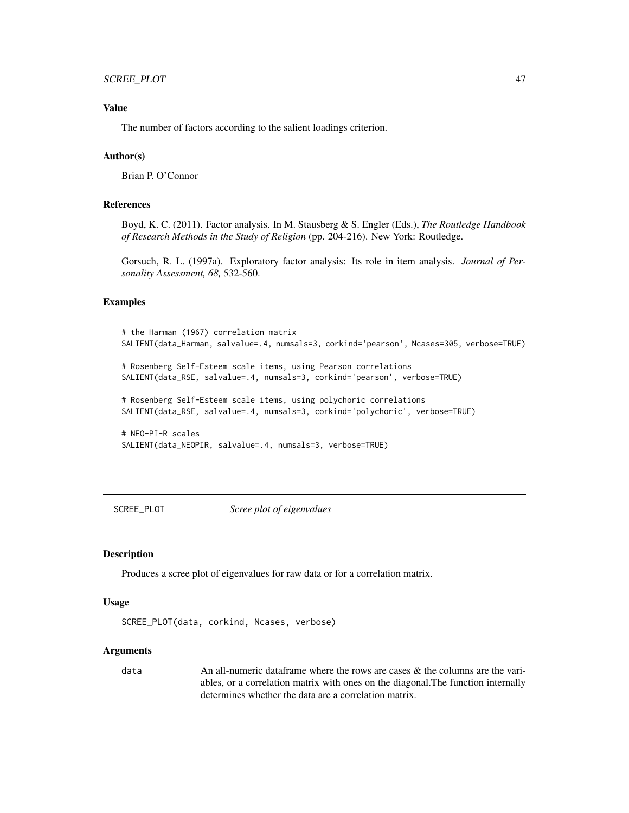## <span id="page-46-0"></span>Value

The number of factors according to the salient loadings criterion.

## Author(s)

Brian P. O'Connor

## References

Boyd, K. C. (2011). Factor analysis. In M. Stausberg & S. Engler (Eds.), *The Routledge Handbook of Research Methods in the Study of Religion* (pp. 204-216). New York: Routledge.

Gorsuch, R. L. (1997a). Exploratory factor analysis: Its role in item analysis. *Journal of Personality Assessment, 68,* 532-560.

## Examples

```
# the Harman (1967) correlation matrix
SALIENT(data_Harman, salvalue=.4, numsals=3, corkind='pearson', Ncases=305, verbose=TRUE)
# Rosenberg Self-Esteem scale items, using Pearson correlations
SALIENT(data_RSE, salvalue=.4, numsals=3, corkind='pearson', verbose=TRUE)
# Rosenberg Self-Esteem scale items, using polychoric correlations
SALIENT(data_RSE, salvalue=.4, numsals=3, corkind='polychoric', verbose=TRUE)
# NEO-PI-R scales
SALIENT(data_NEOPIR, salvalue=.4, numsals=3, verbose=TRUE)
```
SCREE\_PLOT *Scree plot of eigenvalues*

## **Description**

Produces a scree plot of eigenvalues for raw data or for a correlation matrix.

#### Usage

```
SCREE_PLOT(data, corkind, Ncases, verbose)
```
#### Arguments

data An all-numeric dataframe where the rows are cases & the columns are the variables, or a correlation matrix with ones on the diagonal.The function internally determines whether the data are a correlation matrix.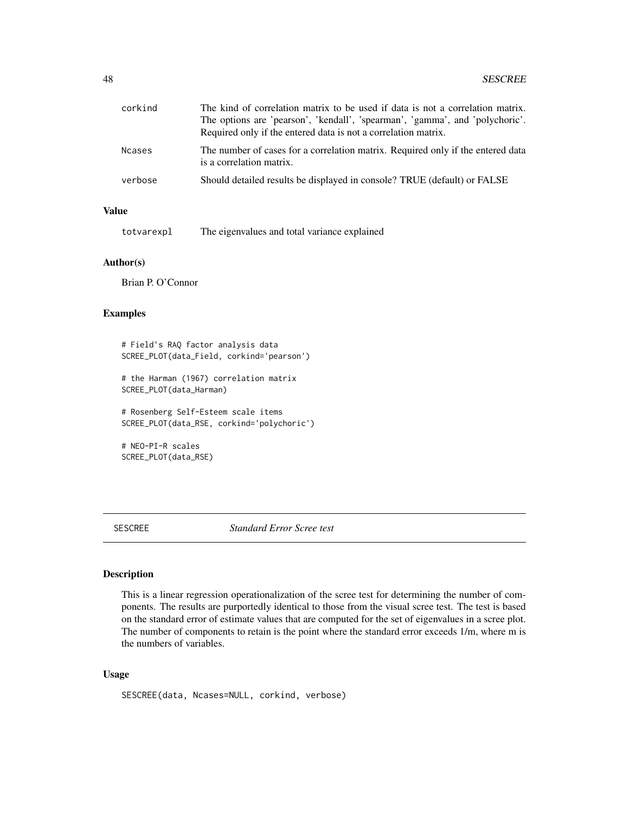<span id="page-47-0"></span>

| corkind       | The kind of correlation matrix to be used if data is not a correlation matrix.<br>The options are 'pearson', 'kendall', 'spearman', 'gamma', and 'polychoric'.<br>Required only if the entered data is not a correlation matrix. |
|---------------|----------------------------------------------------------------------------------------------------------------------------------------------------------------------------------------------------------------------------------|
| <b>Ncases</b> | The number of cases for a correlation matrix. Required only if the entered data<br>is a correlation matrix.                                                                                                                      |
| verbose       | Should detailed results be displayed in console? TRUE (default) or FALSE                                                                                                                                                         |

## Value

totvarexpl The eigenvalues and total variance explained

#### Author(s)

Brian P. O'Connor

#### Examples

# Field's RAQ factor analysis data SCREE\_PLOT(data\_Field, corkind='pearson')

# the Harman (1967) correlation matrix SCREE\_PLOT(data\_Harman)

# Rosenberg Self-Esteem scale items SCREE\_PLOT(data\_RSE, corkind='polychoric')

# NEO-PI-R scales SCREE\_PLOT(data\_RSE)

SESCREE *Standard Error Scree test*

## Description

This is a linear regression operationalization of the scree test for determining the number of components. The results are purportedly identical to those from the visual scree test. The test is based on the standard error of estimate values that are computed for the set of eigenvalues in a scree plot. The number of components to retain is the point where the standard error exceeds 1/m, where m is the numbers of variables.

#### Usage

SESCREE(data, Ncases=NULL, corkind, verbose)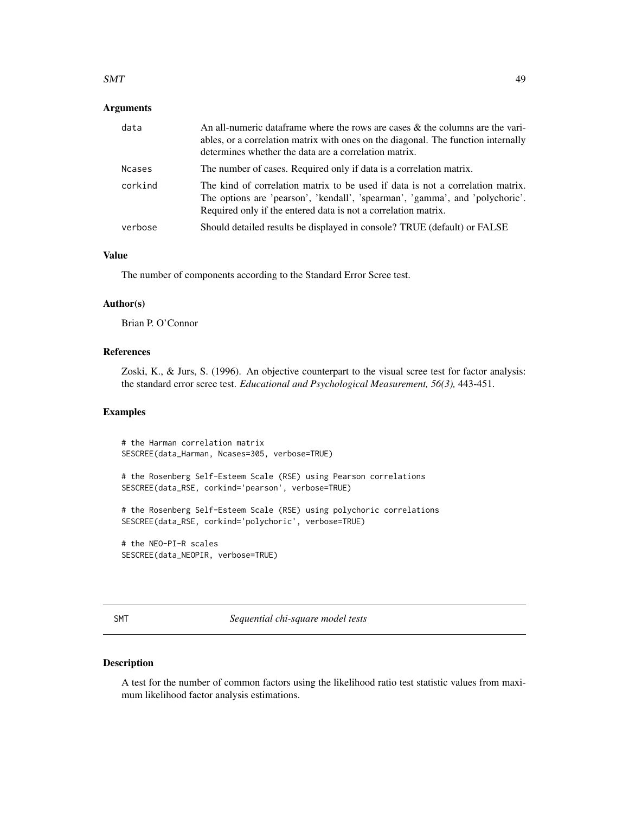#### <span id="page-48-0"></span> $SMT$  49

## **Arguments**

| data          | An all-numeric data frame where the rows are cases $\&$ the columns are the vari-<br>ables, or a correlation matrix with ones on the diagonal. The function internally<br>determines whether the data are a correlation matrix.  |
|---------------|----------------------------------------------------------------------------------------------------------------------------------------------------------------------------------------------------------------------------------|
| <b>Ncases</b> | The number of cases. Required only if data is a correlation matrix.                                                                                                                                                              |
| corkind       | The kind of correlation matrix to be used if data is not a correlation matrix.<br>The options are 'pearson', 'kendall', 'spearman', 'gamma', and 'polychoric'.<br>Required only if the entered data is not a correlation matrix. |
| verbose       | Should detailed results be displayed in console? TRUE (default) or FALSE                                                                                                                                                         |

## Value

The number of components according to the Standard Error Scree test.

#### Author(s)

Brian P. O'Connor

## References

Zoski, K., & Jurs, S. (1996). An objective counterpart to the visual scree test for factor analysis: the standard error scree test. *Educational and Psychological Measurement, 56(3),* 443-451.

## Examples

```
# the Harman correlation matrix
SESCREE(data_Harman, Ncases=305, verbose=TRUE)
# the Rosenberg Self-Esteem Scale (RSE) using Pearson correlations
SESCREE(data_RSE, corkind='pearson', verbose=TRUE)
# the Rosenberg Self-Esteem Scale (RSE) using polychoric correlations
SESCREE(data_RSE, corkind='polychoric', verbose=TRUE)
# the NEO-PI-R scales
SESCREE(data_NEOPIR, verbose=TRUE)
```
SMT *Sequential chi-square model tests*

#### Description

A test for the number of common factors using the likelihood ratio test statistic values from maximum likelihood factor analysis estimations.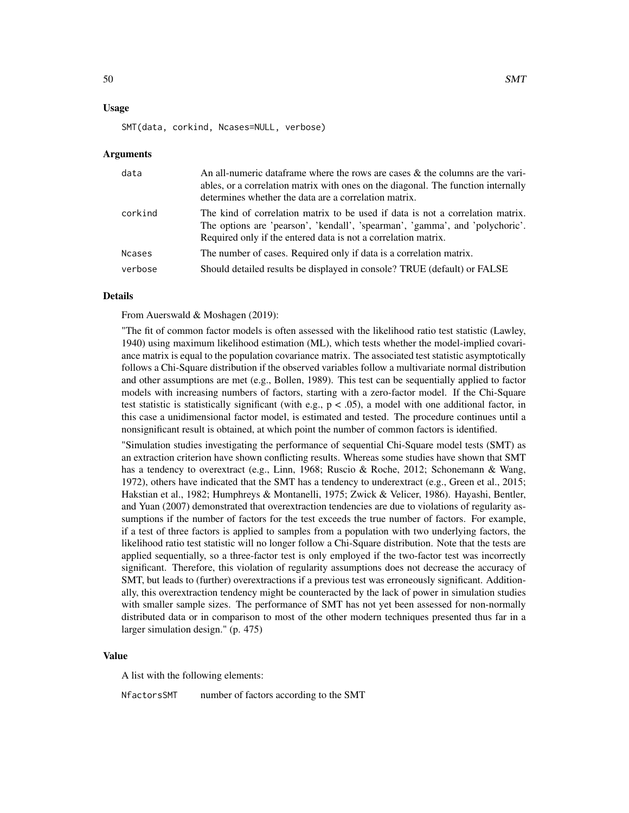#### Usage

SMT(data, corkind, Ncases=NULL, verbose)

#### Arguments

| data          | An all-numeric data frame where the rows are cases $\&$ the columns are the vari-<br>ables, or a correlation matrix with ones on the diagonal. The function internally<br>determines whether the data are a correlation matrix.  |
|---------------|----------------------------------------------------------------------------------------------------------------------------------------------------------------------------------------------------------------------------------|
| corkind       | The kind of correlation matrix to be used if data is not a correlation matrix.<br>The options are 'pearson', 'kendall', 'spearman', 'gamma', and 'polychoric'.<br>Required only if the entered data is not a correlation matrix. |
| <b>Ncases</b> | The number of cases. Required only if data is a correlation matrix.                                                                                                                                                              |
| verbose       | Should detailed results be displayed in console? TRUE (default) or FALSE                                                                                                                                                         |

#### Details

From Auerswald & Moshagen (2019):

"The fit of common factor models is often assessed with the likelihood ratio test statistic (Lawley, 1940) using maximum likelihood estimation (ML), which tests whether the model-implied covariance matrix is equal to the population covariance matrix. The associated test statistic asymptotically follows a Chi-Square distribution if the observed variables follow a multivariate normal distribution and other assumptions are met (e.g., Bollen, 1989). This test can be sequentially applied to factor models with increasing numbers of factors, starting with a zero-factor model. If the Chi-Square test statistic is statistically significant (with e.g.,  $p < .05$ ), a model with one additional factor, in this case a unidimensional factor model, is estimated and tested. The procedure continues until a nonsignificant result is obtained, at which point the number of common factors is identified.

"Simulation studies investigating the performance of sequential Chi-Square model tests (SMT) as an extraction criterion have shown conflicting results. Whereas some studies have shown that SMT has a tendency to overextract (e.g., Linn, 1968; Ruscio & Roche, 2012; Schonemann & Wang, 1972), others have indicated that the SMT has a tendency to underextract (e.g., Green et al., 2015; Hakstian et al., 1982; Humphreys & Montanelli, 1975; Zwick & Velicer, 1986). Hayashi, Bentler, and Yuan (2007) demonstrated that overextraction tendencies are due to violations of regularity assumptions if the number of factors for the test exceeds the true number of factors. For example, if a test of three factors is applied to samples from a population with two underlying factors, the likelihood ratio test statistic will no longer follow a Chi-Square distribution. Note that the tests are applied sequentially, so a three-factor test is only employed if the two-factor test was incorrectly significant. Therefore, this violation of regularity assumptions does not decrease the accuracy of SMT, but leads to (further) overextractions if a previous test was erroneously significant. Additionally, this overextraction tendency might be counteracted by the lack of power in simulation studies with smaller sample sizes. The performance of SMT has not yet been assessed for non-normally distributed data or in comparison to most of the other modern techniques presented thus far in a larger simulation design." (p. 475)

#### Value

A list with the following elements:

NfactorsSMT number of factors according to the SMT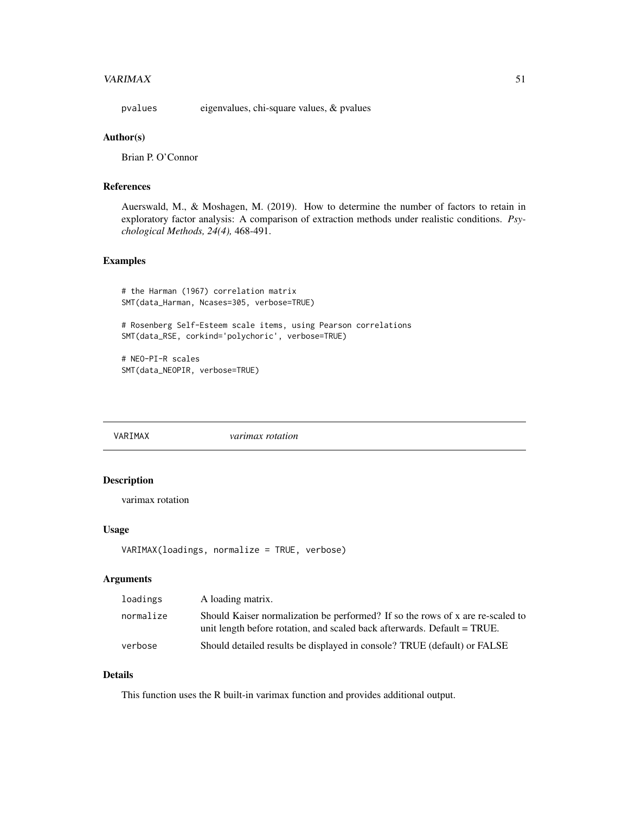#### <span id="page-50-0"></span> $VARIMAX$  51

pvalues eigenvalues, chi-square values, & pvalues

#### Author(s)

Brian P. O'Connor

#### References

Auerswald, M., & Moshagen, M. (2019). How to determine the number of factors to retain in exploratory factor analysis: A comparison of extraction methods under realistic conditions. *Psychological Methods, 24(4),* 468-491.

## Examples

```
# the Harman (1967) correlation matrix
SMT(data_Harman, Ncases=305, verbose=TRUE)
```
# Rosenberg Self-Esteem scale items, using Pearson correlations SMT(data\_RSE, corkind='polychoric', verbose=TRUE)

# NEO-PI-R scales SMT(data\_NEOPIR, verbose=TRUE)

VARIMAX *varimax rotation*

## Description

varimax rotation

#### Usage

```
VARIMAX(loadings, normalize = TRUE, verbose)
```
#### Arguments

| loadings  | A loading matrix.                                                                                                                                          |
|-----------|------------------------------------------------------------------------------------------------------------------------------------------------------------|
| normalize | Should Kaiser normalization be performed? If so the rows of x are re-scaled to<br>unit length before rotation, and scaled back afterwards. Default = TRUE. |
| verbose   | Should detailed results be displayed in console? TRUE (default) or FALSE                                                                                   |

## Details

This function uses the R built-in varimax function and provides additional output.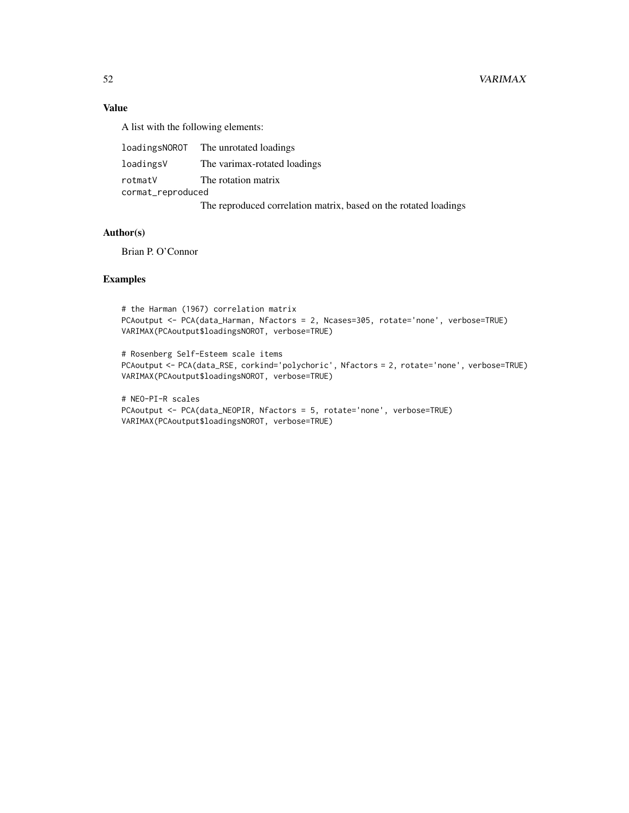## Value

A list with the following elements:

|                   | loadingsNOROT The unrotated loadings                             |  |
|-------------------|------------------------------------------------------------------|--|
| loadingsV         | The varimax-rotated loadings                                     |  |
| rotmatV           | The rotation matrix                                              |  |
| cormat_reproduced |                                                                  |  |
|                   | The reproduced correlation matrix, based on the rotated loadings |  |

## Author(s)

Brian P. O'Connor

#### Examples

```
# the Harman (1967) correlation matrix
PCAoutput <- PCA(data_Harman, Nfactors = 2, Ncases=305, rotate='none', verbose=TRUE)
VARIMAX(PCAoutput$loadingsNOROT, verbose=TRUE)
```

```
# Rosenberg Self-Esteem scale items
PCAoutput <- PCA(data_RSE, corkind='polychoric', Nfactors = 2, rotate='none', verbose=TRUE)
VARIMAX(PCAoutput$loadingsNOROT, verbose=TRUE)
```

```
# NEO-PI-R scales
PCAoutput <- PCA(data_NEOPIR, Nfactors = 5, rotate='none', verbose=TRUE)
VARIMAX(PCAoutput$loadingsNOROT, verbose=TRUE)
```